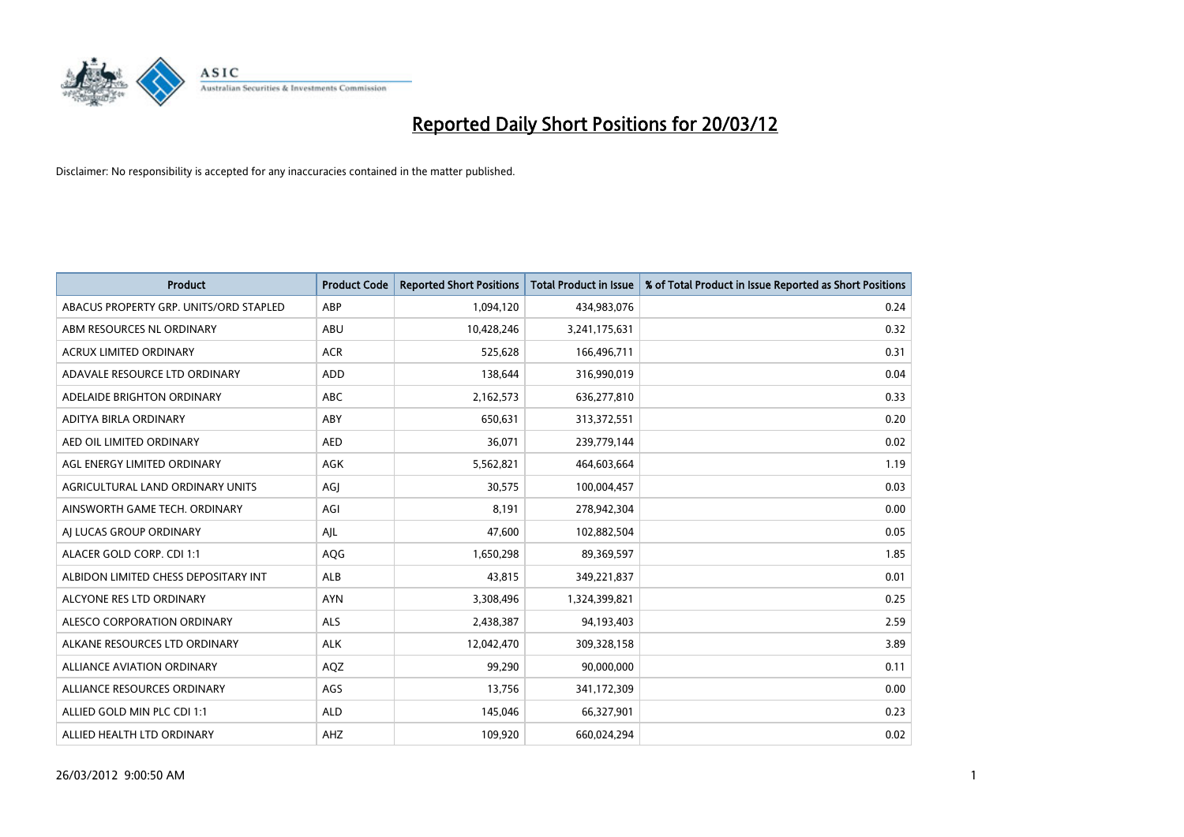

| <b>Product</b>                         | <b>Product Code</b> | <b>Reported Short Positions</b> | <b>Total Product in Issue</b> | % of Total Product in Issue Reported as Short Positions |
|----------------------------------------|---------------------|---------------------------------|-------------------------------|---------------------------------------------------------|
| ABACUS PROPERTY GRP. UNITS/ORD STAPLED | ABP                 | 1,094,120                       | 434,983,076                   | 0.24                                                    |
| ABM RESOURCES NL ORDINARY              | ABU                 | 10,428,246                      | 3,241,175,631                 | 0.32                                                    |
| <b>ACRUX LIMITED ORDINARY</b>          | <b>ACR</b>          | 525,628                         | 166,496,711                   | 0.31                                                    |
| ADAVALE RESOURCE LTD ORDINARY          | <b>ADD</b>          | 138,644                         | 316,990,019                   | 0.04                                                    |
| ADELAIDE BRIGHTON ORDINARY             | <b>ABC</b>          | 2,162,573                       | 636,277,810                   | 0.33                                                    |
| ADITYA BIRLA ORDINARY                  | ABY                 | 650,631                         | 313,372,551                   | 0.20                                                    |
| AED OIL LIMITED ORDINARY               | <b>AED</b>          | 36,071                          | 239,779,144                   | 0.02                                                    |
| AGL ENERGY LIMITED ORDINARY            | AGK                 | 5,562,821                       | 464,603,664                   | 1.19                                                    |
| AGRICULTURAL LAND ORDINARY UNITS       | AGJ                 | 30,575                          | 100,004,457                   | 0.03                                                    |
| AINSWORTH GAME TECH. ORDINARY          | AGI                 | 8,191                           | 278,942,304                   | 0.00                                                    |
| AJ LUCAS GROUP ORDINARY                | AJL                 | 47,600                          | 102,882,504                   | 0.05                                                    |
| ALACER GOLD CORP. CDI 1:1              | AQG                 | 1,650,298                       | 89,369,597                    | 1.85                                                    |
| ALBIDON LIMITED CHESS DEPOSITARY INT   | <b>ALB</b>          | 43,815                          | 349,221,837                   | 0.01                                                    |
| ALCYONE RES LTD ORDINARY               | <b>AYN</b>          | 3,308,496                       | 1,324,399,821                 | 0.25                                                    |
| ALESCO CORPORATION ORDINARY            | <b>ALS</b>          | 2,438,387                       | 94,193,403                    | 2.59                                                    |
| ALKANE RESOURCES LTD ORDINARY          | <b>ALK</b>          | 12,042,470                      | 309,328,158                   | 3.89                                                    |
| ALLIANCE AVIATION ORDINARY             | AQZ                 | 99,290                          | 90,000,000                    | 0.11                                                    |
| ALLIANCE RESOURCES ORDINARY            | AGS                 | 13,756                          | 341,172,309                   | 0.00                                                    |
| ALLIED GOLD MIN PLC CDI 1:1            | <b>ALD</b>          | 145,046                         | 66,327,901                    | 0.23                                                    |
| ALLIED HEALTH LTD ORDINARY             | AHZ                 | 109,920                         | 660,024,294                   | 0.02                                                    |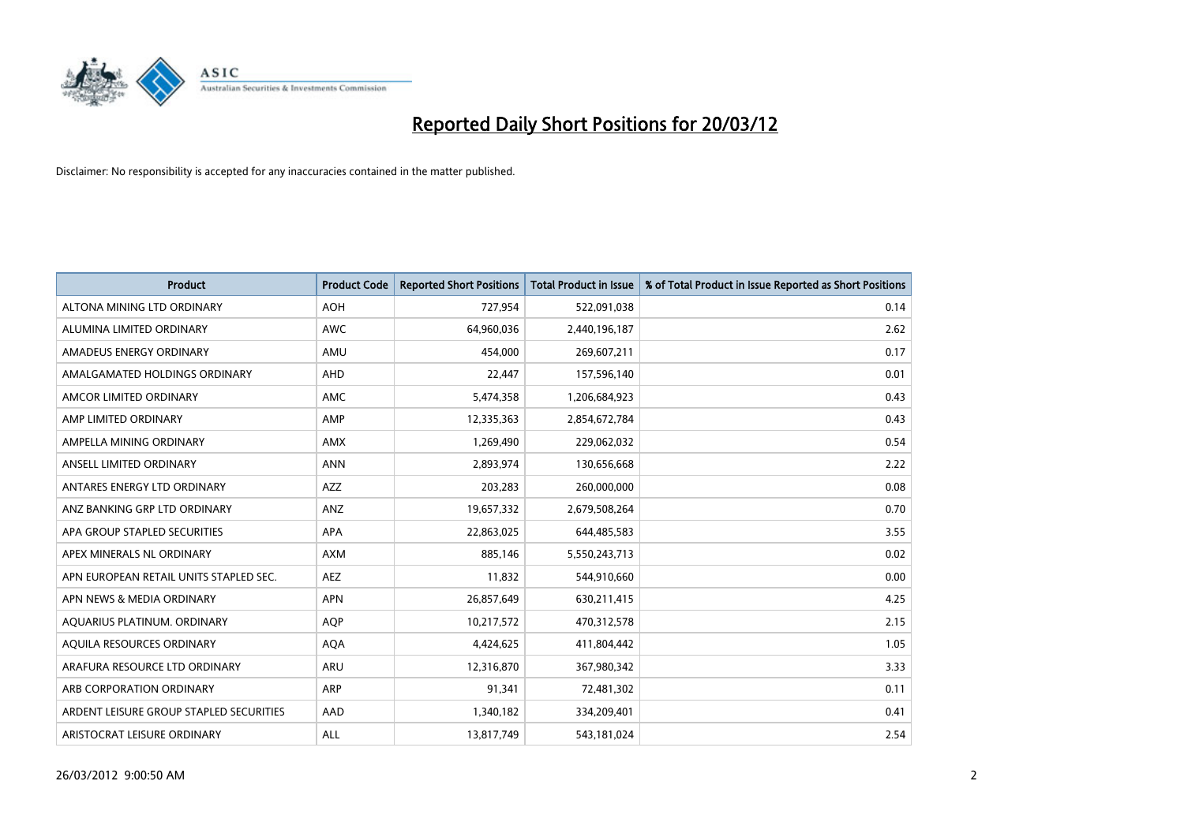

| Product                                 | <b>Product Code</b> | <b>Reported Short Positions</b> | <b>Total Product in Issue</b> | % of Total Product in Issue Reported as Short Positions |
|-----------------------------------------|---------------------|---------------------------------|-------------------------------|---------------------------------------------------------|
| ALTONA MINING LTD ORDINARY              | <b>AOH</b>          | 727,954                         | 522,091,038                   | 0.14                                                    |
| ALUMINA LIMITED ORDINARY                | <b>AWC</b>          | 64,960,036                      | 2,440,196,187                 | 2.62                                                    |
| AMADEUS ENERGY ORDINARY                 | AMU                 | 454,000                         | 269,607,211                   | 0.17                                                    |
| AMALGAMATED HOLDINGS ORDINARY           | <b>AHD</b>          | 22,447                          | 157,596,140                   | 0.01                                                    |
| AMCOR LIMITED ORDINARY                  | AMC                 | 5,474,358                       | 1,206,684,923                 | 0.43                                                    |
| AMP LIMITED ORDINARY                    | AMP                 | 12,335,363                      | 2,854,672,784                 | 0.43                                                    |
| AMPELLA MINING ORDINARY                 | <b>AMX</b>          | 1,269,490                       | 229,062,032                   | 0.54                                                    |
| ANSELL LIMITED ORDINARY                 | <b>ANN</b>          | 2,893,974                       | 130,656,668                   | 2.22                                                    |
| ANTARES ENERGY LTD ORDINARY             | AZZ                 | 203,283                         | 260,000,000                   | 0.08                                                    |
| ANZ BANKING GRP LTD ORDINARY            | ANZ                 | 19,657,332                      | 2,679,508,264                 | 0.70                                                    |
| APA GROUP STAPLED SECURITIES            | APA                 | 22,863,025                      | 644,485,583                   | 3.55                                                    |
| APEX MINERALS NL ORDINARY               | AXM                 | 885,146                         | 5,550,243,713                 | 0.02                                                    |
| APN EUROPEAN RETAIL UNITS STAPLED SEC.  | <b>AEZ</b>          | 11,832                          | 544,910,660                   | 0.00                                                    |
| APN NEWS & MEDIA ORDINARY               | <b>APN</b>          | 26,857,649                      | 630,211,415                   | 4.25                                                    |
| AQUARIUS PLATINUM. ORDINARY             | <b>AQP</b>          | 10,217,572                      | 470,312,578                   | 2.15                                                    |
| AQUILA RESOURCES ORDINARY               | <b>AQA</b>          | 4,424,625                       | 411,804,442                   | 1.05                                                    |
| ARAFURA RESOURCE LTD ORDINARY           | ARU                 | 12,316,870                      | 367,980,342                   | 3.33                                                    |
| ARB CORPORATION ORDINARY                | ARP                 | 91,341                          | 72,481,302                    | 0.11                                                    |
| ARDENT LEISURE GROUP STAPLED SECURITIES | AAD                 | 1,340,182                       | 334,209,401                   | 0.41                                                    |
| ARISTOCRAT LEISURE ORDINARY             | ALL                 | 13,817,749                      | 543,181,024                   | 2.54                                                    |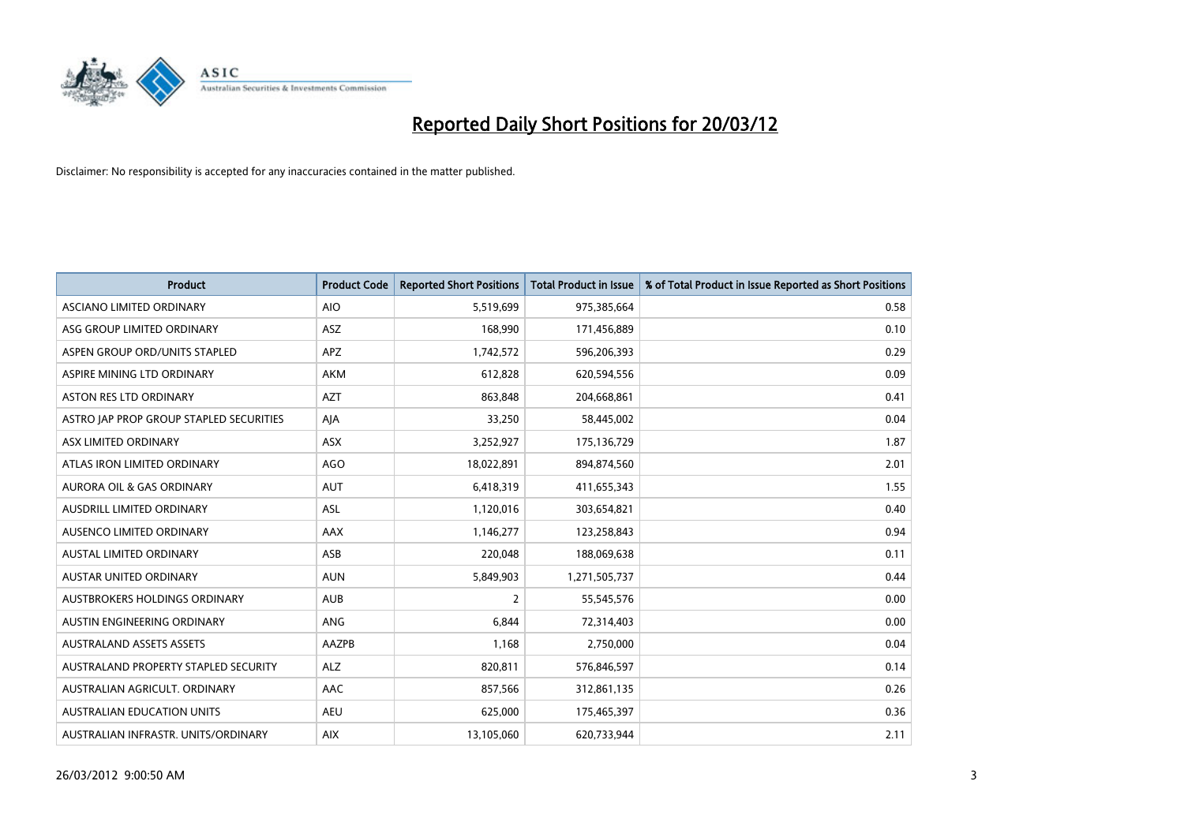

| <b>Product</b>                          | <b>Product Code</b> | <b>Reported Short Positions</b> | <b>Total Product in Issue</b> | % of Total Product in Issue Reported as Short Positions |
|-----------------------------------------|---------------------|---------------------------------|-------------------------------|---------------------------------------------------------|
| ASCIANO LIMITED ORDINARY                | <b>AIO</b>          | 5,519,699                       | 975,385,664                   | 0.58                                                    |
| ASG GROUP LIMITED ORDINARY              | ASZ                 | 168,990                         | 171,456,889                   | 0.10                                                    |
| ASPEN GROUP ORD/UNITS STAPLED           | <b>APZ</b>          | 1,742,572                       | 596,206,393                   | 0.29                                                    |
| ASPIRE MINING LTD ORDINARY              | <b>AKM</b>          | 612,828                         | 620,594,556                   | 0.09                                                    |
| <b>ASTON RES LTD ORDINARY</b>           | <b>AZT</b>          | 863,848                         | 204,668,861                   | 0.41                                                    |
| ASTRO JAP PROP GROUP STAPLED SECURITIES | AJA                 | 33,250                          | 58,445,002                    | 0.04                                                    |
| ASX LIMITED ORDINARY                    | ASX                 | 3,252,927                       | 175,136,729                   | 1.87                                                    |
| ATLAS IRON LIMITED ORDINARY             | <b>AGO</b>          | 18,022,891                      | 894,874,560                   | 2.01                                                    |
| <b>AURORA OIL &amp; GAS ORDINARY</b>    | AUT                 | 6,418,319                       | 411,655,343                   | 1.55                                                    |
| AUSDRILL LIMITED ORDINARY               | <b>ASL</b>          | 1,120,016                       | 303,654,821                   | 0.40                                                    |
| AUSENCO LIMITED ORDINARY                | AAX                 | 1,146,277                       | 123,258,843                   | 0.94                                                    |
| <b>AUSTAL LIMITED ORDINARY</b>          | ASB                 | 220,048                         | 188,069,638                   | 0.11                                                    |
| <b>AUSTAR UNITED ORDINARY</b>           | <b>AUN</b>          | 5,849,903                       | 1,271,505,737                 | 0.44                                                    |
| AUSTBROKERS HOLDINGS ORDINARY           | <b>AUB</b>          | 2                               | 55,545,576                    | 0.00                                                    |
| AUSTIN ENGINEERING ORDINARY             | ANG                 | 6,844                           | 72,314,403                    | 0.00                                                    |
| <b>AUSTRALAND ASSETS ASSETS</b>         | AAZPB               | 1,168                           | 2,750,000                     | 0.04                                                    |
| AUSTRALAND PROPERTY STAPLED SECURITY    | <b>ALZ</b>          | 820,811                         | 576,846,597                   | 0.14                                                    |
| AUSTRALIAN AGRICULT, ORDINARY           | AAC                 | 857,566                         | 312,861,135                   | 0.26                                                    |
| <b>AUSTRALIAN EDUCATION UNITS</b>       | <b>AEU</b>          | 625,000                         | 175,465,397                   | 0.36                                                    |
| AUSTRALIAN INFRASTR. UNITS/ORDINARY     | <b>AIX</b>          | 13,105,060                      | 620,733,944                   | 2.11                                                    |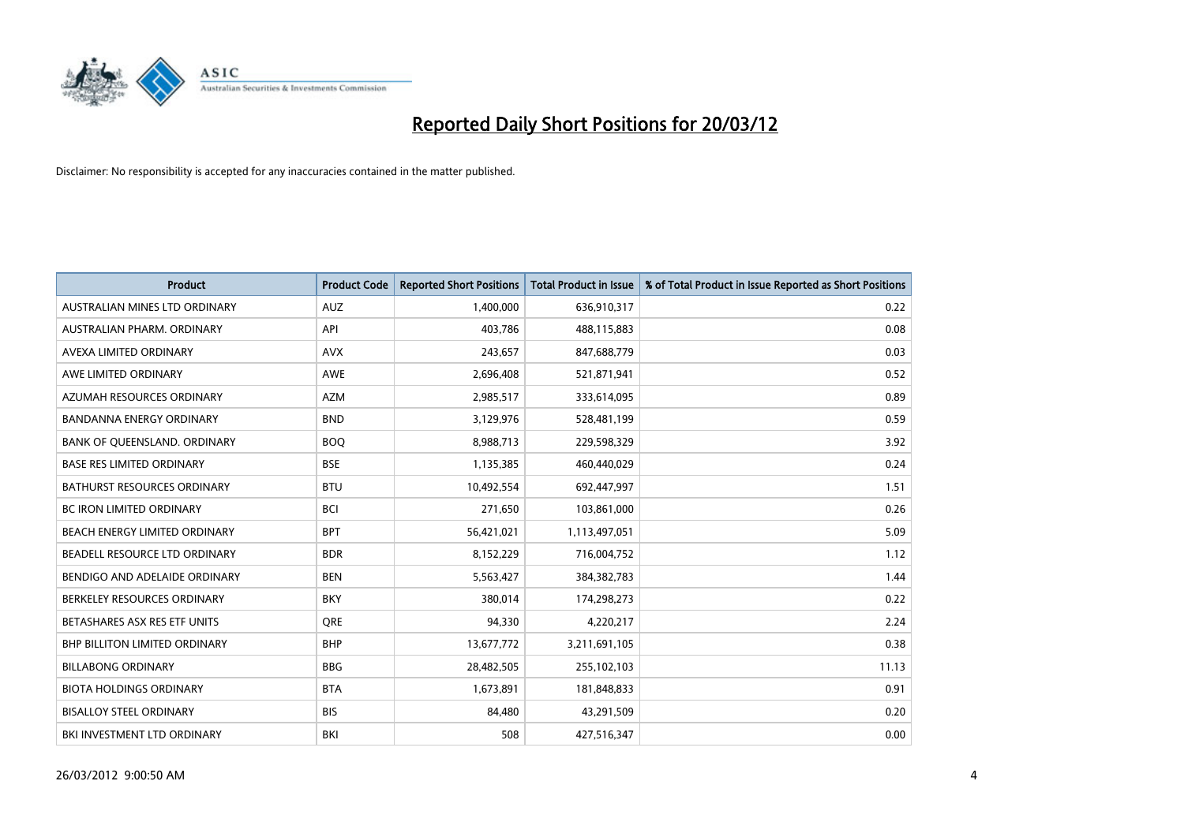

| <b>Product</b>                       | <b>Product Code</b> | <b>Reported Short Positions</b> | <b>Total Product in Issue</b> | % of Total Product in Issue Reported as Short Positions |
|--------------------------------------|---------------------|---------------------------------|-------------------------------|---------------------------------------------------------|
| AUSTRALIAN MINES LTD ORDINARY        | <b>AUZ</b>          | 1,400,000                       | 636,910,317                   | 0.22                                                    |
| AUSTRALIAN PHARM. ORDINARY           | API                 | 403,786                         | 488,115,883                   | 0.08                                                    |
| AVEXA LIMITED ORDINARY               | <b>AVX</b>          | 243,657                         | 847,688,779                   | 0.03                                                    |
| AWE LIMITED ORDINARY                 | AWE                 | 2,696,408                       | 521,871,941                   | 0.52                                                    |
| AZUMAH RESOURCES ORDINARY            | <b>AZM</b>          | 2,985,517                       | 333,614,095                   | 0.89                                                    |
| <b>BANDANNA ENERGY ORDINARY</b>      | <b>BND</b>          | 3,129,976                       | 528,481,199                   | 0.59                                                    |
| BANK OF QUEENSLAND. ORDINARY         | <b>BOO</b>          | 8,988,713                       | 229,598,329                   | 3.92                                                    |
| <b>BASE RES LIMITED ORDINARY</b>     | <b>BSE</b>          | 1,135,385                       | 460,440,029                   | 0.24                                                    |
| <b>BATHURST RESOURCES ORDINARY</b>   | <b>BTU</b>          | 10,492,554                      | 692,447,997                   | 1.51                                                    |
| <b>BC IRON LIMITED ORDINARY</b>      | <b>BCI</b>          | 271,650                         | 103,861,000                   | 0.26                                                    |
| BEACH ENERGY LIMITED ORDINARY        | <b>BPT</b>          | 56,421,021                      | 1,113,497,051                 | 5.09                                                    |
| BEADELL RESOURCE LTD ORDINARY        | <b>BDR</b>          | 8,152,229                       | 716,004,752                   | 1.12                                                    |
| BENDIGO AND ADELAIDE ORDINARY        | <b>BEN</b>          | 5,563,427                       | 384, 382, 783                 | 1.44                                                    |
| BERKELEY RESOURCES ORDINARY          | <b>BKY</b>          | 380,014                         | 174,298,273                   | 0.22                                                    |
| BETASHARES ASX RES ETF UNITS         | <b>ORE</b>          | 94,330                          | 4,220,217                     | 2.24                                                    |
| <b>BHP BILLITON LIMITED ORDINARY</b> | <b>BHP</b>          | 13,677,772                      | 3,211,691,105                 | 0.38                                                    |
| <b>BILLABONG ORDINARY</b>            | <b>BBG</b>          | 28,482,505                      | 255,102,103                   | 11.13                                                   |
| <b>BIOTA HOLDINGS ORDINARY</b>       | <b>BTA</b>          | 1,673,891                       | 181,848,833                   | 0.91                                                    |
| <b>BISALLOY STEEL ORDINARY</b>       | <b>BIS</b>          | 84,480                          | 43,291,509                    | 0.20                                                    |
| BKI INVESTMENT LTD ORDINARY          | BKI                 | 508                             | 427,516,347                   | 0.00                                                    |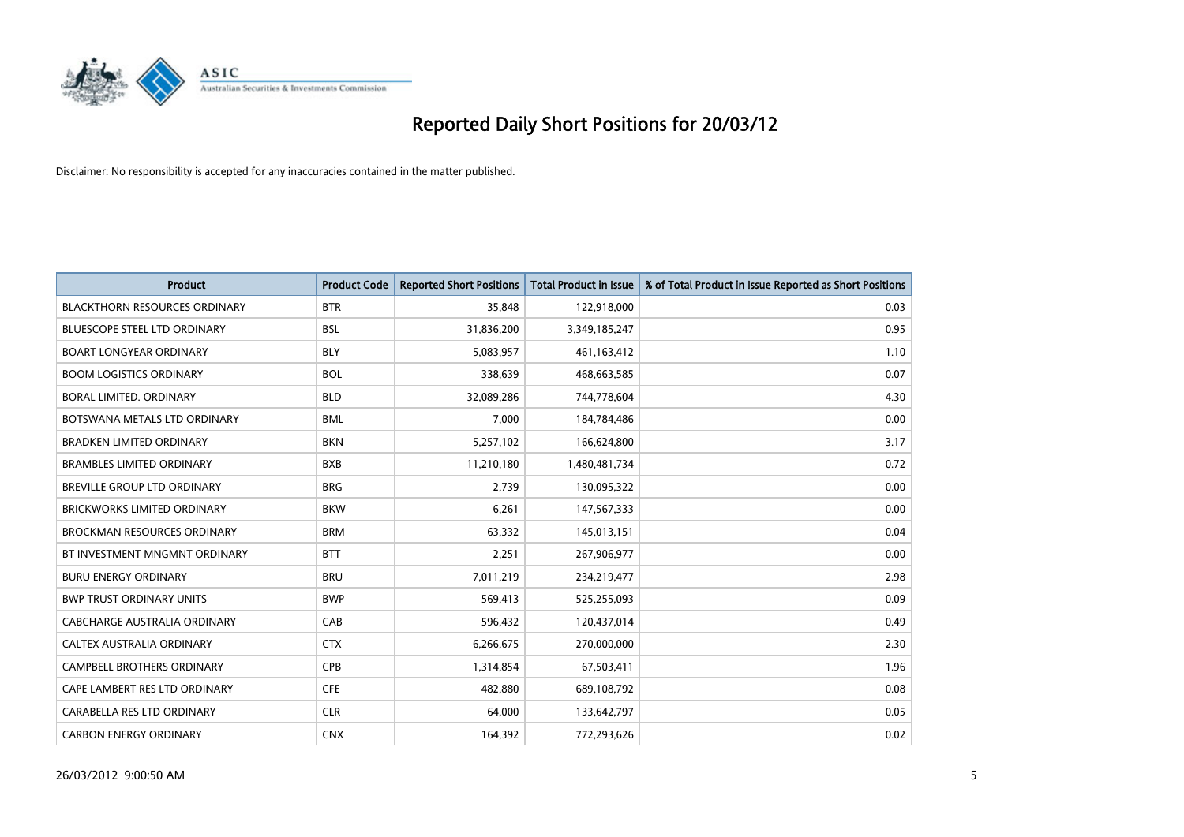

| <b>Product</b>                       | <b>Product Code</b> | <b>Reported Short Positions</b> | <b>Total Product in Issue</b> | % of Total Product in Issue Reported as Short Positions |
|--------------------------------------|---------------------|---------------------------------|-------------------------------|---------------------------------------------------------|
| <b>BLACKTHORN RESOURCES ORDINARY</b> | <b>BTR</b>          | 35,848                          | 122,918,000                   | 0.03                                                    |
| BLUESCOPE STEEL LTD ORDINARY         | <b>BSL</b>          | 31,836,200                      | 3,349,185,247                 | 0.95                                                    |
| <b>BOART LONGYEAR ORDINARY</b>       | <b>BLY</b>          | 5,083,957                       | 461,163,412                   | 1.10                                                    |
| <b>BOOM LOGISTICS ORDINARY</b>       | <b>BOL</b>          | 338,639                         | 468,663,585                   | 0.07                                                    |
| <b>BORAL LIMITED, ORDINARY</b>       | <b>BLD</b>          | 32,089,286                      | 744,778,604                   | 4.30                                                    |
| BOTSWANA METALS LTD ORDINARY         | <b>BML</b>          | 7,000                           | 184,784,486                   | 0.00                                                    |
| BRADKEN LIMITED ORDINARY             | <b>BKN</b>          | 5,257,102                       | 166,624,800                   | 3.17                                                    |
| <b>BRAMBLES LIMITED ORDINARY</b>     | <b>BXB</b>          | 11,210,180                      | 1,480,481,734                 | 0.72                                                    |
| <b>BREVILLE GROUP LTD ORDINARY</b>   | <b>BRG</b>          | 2,739                           | 130,095,322                   | 0.00                                                    |
| <b>BRICKWORKS LIMITED ORDINARY</b>   | <b>BKW</b>          | 6,261                           | 147,567,333                   | 0.00                                                    |
| <b>BROCKMAN RESOURCES ORDINARY</b>   | <b>BRM</b>          | 63,332                          | 145,013,151                   | 0.04                                                    |
| BT INVESTMENT MNGMNT ORDINARY        | <b>BTT</b>          | 2,251                           | 267,906,977                   | 0.00                                                    |
| <b>BURU ENERGY ORDINARY</b>          | <b>BRU</b>          | 7,011,219                       | 234,219,477                   | 2.98                                                    |
| <b>BWP TRUST ORDINARY UNITS</b>      | <b>BWP</b>          | 569,413                         | 525,255,093                   | 0.09                                                    |
| <b>CABCHARGE AUSTRALIA ORDINARY</b>  | CAB                 | 596,432                         | 120,437,014                   | 0.49                                                    |
| CALTEX AUSTRALIA ORDINARY            | <b>CTX</b>          | 6,266,675                       | 270,000,000                   | 2.30                                                    |
| CAMPBELL BROTHERS ORDINARY           | <b>CPB</b>          | 1,314,854                       | 67,503,411                    | 1.96                                                    |
| CAPE LAMBERT RES LTD ORDINARY        | <b>CFE</b>          | 482,880                         | 689,108,792                   | 0.08                                                    |
| CARABELLA RES LTD ORDINARY           | <b>CLR</b>          | 64,000                          | 133,642,797                   | 0.05                                                    |
| <b>CARBON ENERGY ORDINARY</b>        | <b>CNX</b>          | 164,392                         | 772,293,626                   | 0.02                                                    |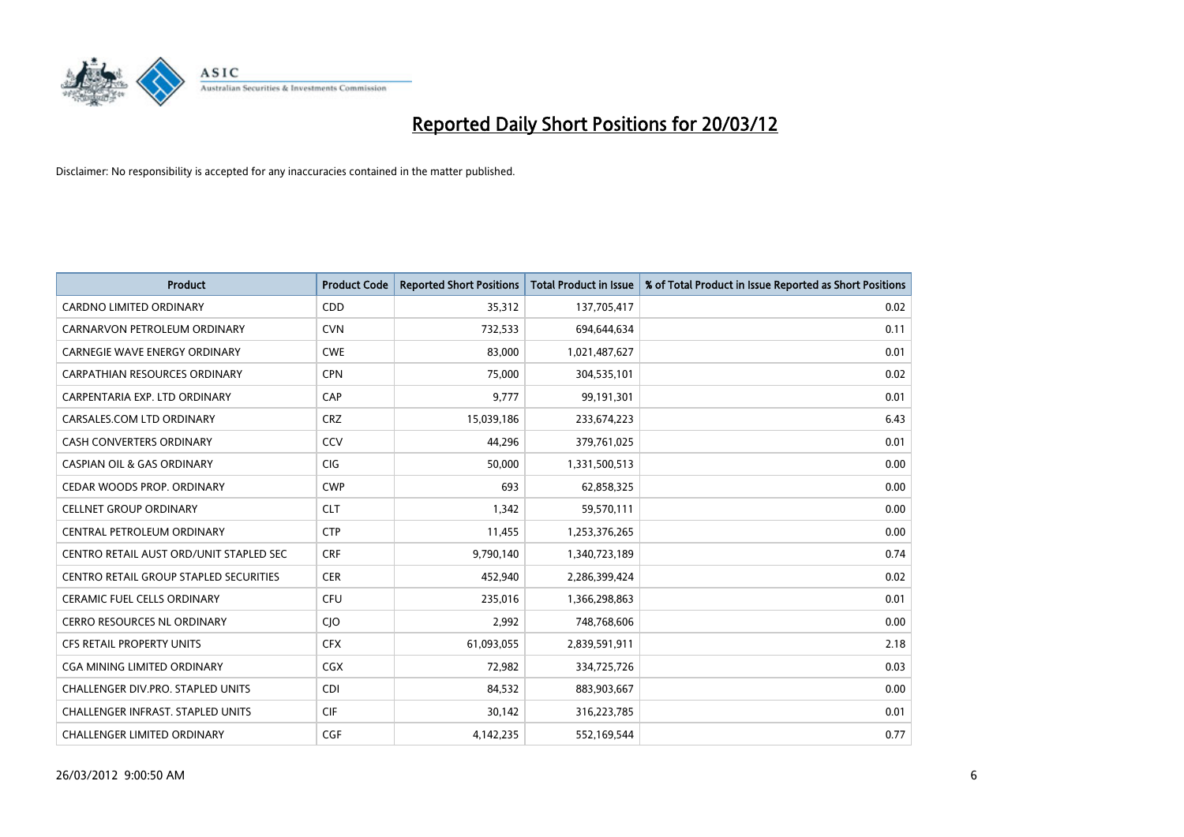

| <b>Product</b>                                | <b>Product Code</b> | <b>Reported Short Positions</b> | <b>Total Product in Issue</b> | % of Total Product in Issue Reported as Short Positions |
|-----------------------------------------------|---------------------|---------------------------------|-------------------------------|---------------------------------------------------------|
| <b>CARDNO LIMITED ORDINARY</b>                | CDD                 | 35,312                          | 137,705,417                   | 0.02                                                    |
| CARNARVON PETROLEUM ORDINARY                  | <b>CVN</b>          | 732,533                         | 694,644,634                   | 0.11                                                    |
| <b>CARNEGIE WAVE ENERGY ORDINARY</b>          | <b>CWE</b>          | 83,000                          | 1,021,487,627                 | 0.01                                                    |
| CARPATHIAN RESOURCES ORDINARY                 | <b>CPN</b>          | 75,000                          | 304,535,101                   | 0.02                                                    |
| CARPENTARIA EXP. LTD ORDINARY                 | CAP                 | 9,777                           | 99,191,301                    | 0.01                                                    |
| CARSALES.COM LTD ORDINARY                     | <b>CRZ</b>          | 15,039,186                      | 233,674,223                   | 6.43                                                    |
| <b>CASH CONVERTERS ORDINARY</b>               | <b>CCV</b>          | 44,296                          | 379,761,025                   | 0.01                                                    |
| <b>CASPIAN OIL &amp; GAS ORDINARY</b>         | <b>CIG</b>          | 50,000                          | 1,331,500,513                 | 0.00                                                    |
| CEDAR WOODS PROP. ORDINARY                    | <b>CWP</b>          | 693                             | 62,858,325                    | 0.00                                                    |
| <b>CELLNET GROUP ORDINARY</b>                 | <b>CLT</b>          | 1,342                           | 59,570,111                    | 0.00                                                    |
| CENTRAL PETROLEUM ORDINARY                    | <b>CTP</b>          | 11,455                          | 1,253,376,265                 | 0.00                                                    |
| CENTRO RETAIL AUST ORD/UNIT STAPLED SEC       | <b>CRF</b>          | 9,790,140                       | 1,340,723,189                 | 0.74                                                    |
| <b>CENTRO RETAIL GROUP STAPLED SECURITIES</b> | <b>CER</b>          | 452,940                         | 2,286,399,424                 | 0.02                                                    |
| <b>CERAMIC FUEL CELLS ORDINARY</b>            | <b>CFU</b>          | 235,016                         | 1,366,298,863                 | 0.01                                                    |
| <b>CERRO RESOURCES NL ORDINARY</b>            | CJO                 | 2,992                           | 748,768,606                   | 0.00                                                    |
| CFS RETAIL PROPERTY UNITS                     | <b>CFX</b>          | 61,093,055                      | 2,839,591,911                 | 2.18                                                    |
| CGA MINING LIMITED ORDINARY                   | CGX                 | 72,982                          | 334,725,726                   | 0.03                                                    |
| CHALLENGER DIV.PRO. STAPLED UNITS             | <b>CDI</b>          | 84,532                          | 883,903,667                   | 0.00                                                    |
| <b>CHALLENGER INFRAST, STAPLED UNITS</b>      | <b>CIF</b>          | 30,142                          | 316,223,785                   | 0.01                                                    |
| CHALLENGER LIMITED ORDINARY                   | <b>CGF</b>          | 4,142,235                       | 552,169,544                   | 0.77                                                    |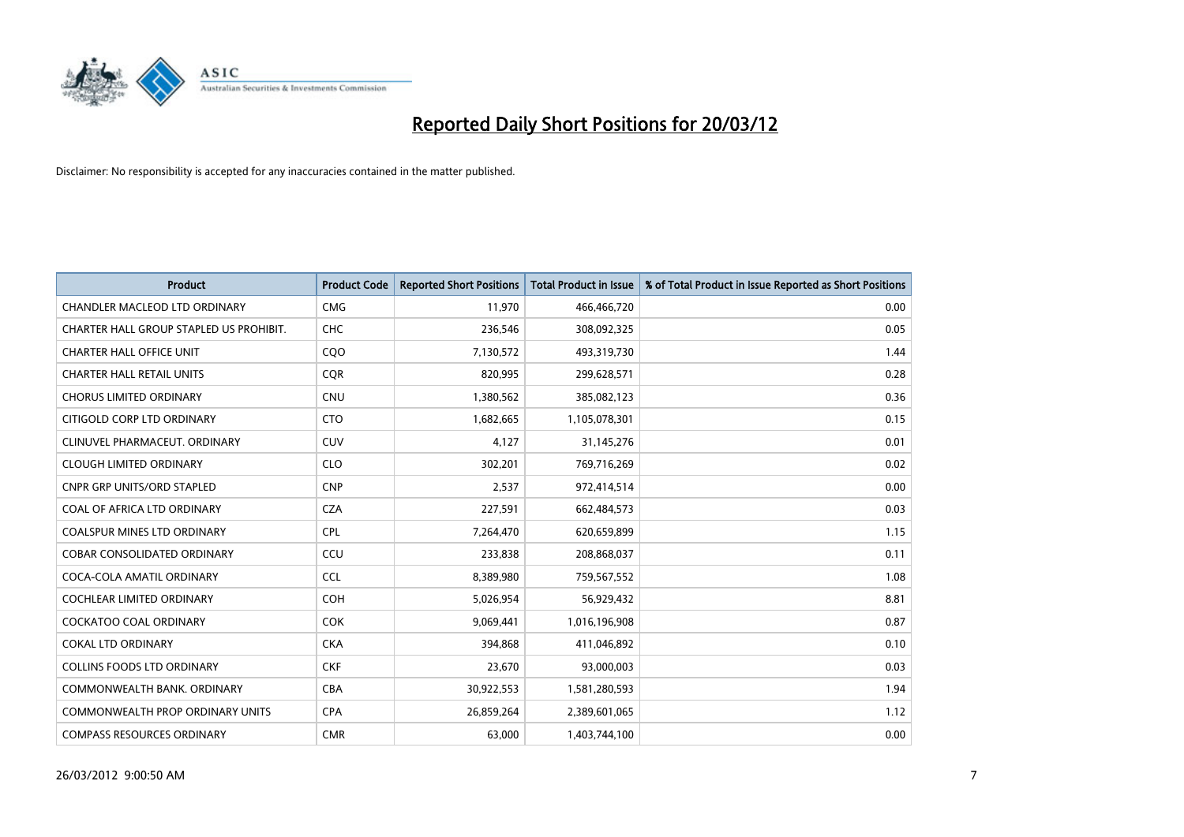

| <b>Product</b>                          | <b>Product Code</b> | <b>Reported Short Positions</b> | <b>Total Product in Issue</b> | % of Total Product in Issue Reported as Short Positions |
|-----------------------------------------|---------------------|---------------------------------|-------------------------------|---------------------------------------------------------|
| CHANDLER MACLEOD LTD ORDINARY           | <b>CMG</b>          | 11,970                          | 466,466,720                   | 0.00                                                    |
| CHARTER HALL GROUP STAPLED US PROHIBIT. | <b>CHC</b>          | 236,546                         | 308,092,325                   | 0.05                                                    |
| <b>CHARTER HALL OFFICE UNIT</b>         | CQ <sub>O</sub>     | 7,130,572                       | 493,319,730                   | 1.44                                                    |
| <b>CHARTER HALL RETAIL UNITS</b>        | <b>COR</b>          | 820,995                         | 299,628,571                   | 0.28                                                    |
| <b>CHORUS LIMITED ORDINARY</b>          | <b>CNU</b>          | 1,380,562                       | 385,082,123                   | 0.36                                                    |
| CITIGOLD CORP LTD ORDINARY              | <b>CTO</b>          | 1,682,665                       | 1,105,078,301                 | 0.15                                                    |
| CLINUVEL PHARMACEUT, ORDINARY           | CUV                 | 4,127                           | 31,145,276                    | 0.01                                                    |
| <b>CLOUGH LIMITED ORDINARY</b>          | <b>CLO</b>          | 302,201                         | 769,716,269                   | 0.02                                                    |
| <b>CNPR GRP UNITS/ORD STAPLED</b>       | <b>CNP</b>          | 2,537                           | 972,414,514                   | 0.00                                                    |
| COAL OF AFRICA LTD ORDINARY             | <b>CZA</b>          | 227,591                         | 662,484,573                   | 0.03                                                    |
| COALSPUR MINES LTD ORDINARY             | <b>CPL</b>          | 7,264,470                       | 620,659,899                   | 1.15                                                    |
| <b>COBAR CONSOLIDATED ORDINARY</b>      | CCU                 | 233,838                         | 208,868,037                   | 0.11                                                    |
| COCA-COLA AMATIL ORDINARY               | <b>CCL</b>          | 8,389,980                       | 759,567,552                   | 1.08                                                    |
| <b>COCHLEAR LIMITED ORDINARY</b>        | <b>COH</b>          | 5,026,954                       | 56,929,432                    | 8.81                                                    |
| <b>COCKATOO COAL ORDINARY</b>           | <b>COK</b>          | 9,069,441                       | 1,016,196,908                 | 0.87                                                    |
| <b>COKAL LTD ORDINARY</b>               | <b>CKA</b>          | 394,868                         | 411,046,892                   | 0.10                                                    |
| <b>COLLINS FOODS LTD ORDINARY</b>       | <b>CKF</b>          | 23,670                          | 93,000,003                    | 0.03                                                    |
| COMMONWEALTH BANK, ORDINARY             | <b>CBA</b>          | 30,922,553                      | 1,581,280,593                 | 1.94                                                    |
| <b>COMMONWEALTH PROP ORDINARY UNITS</b> | <b>CPA</b>          | 26,859,264                      | 2,389,601,065                 | 1.12                                                    |
| <b>COMPASS RESOURCES ORDINARY</b>       | <b>CMR</b>          | 63,000                          | 1,403,744,100                 | 0.00                                                    |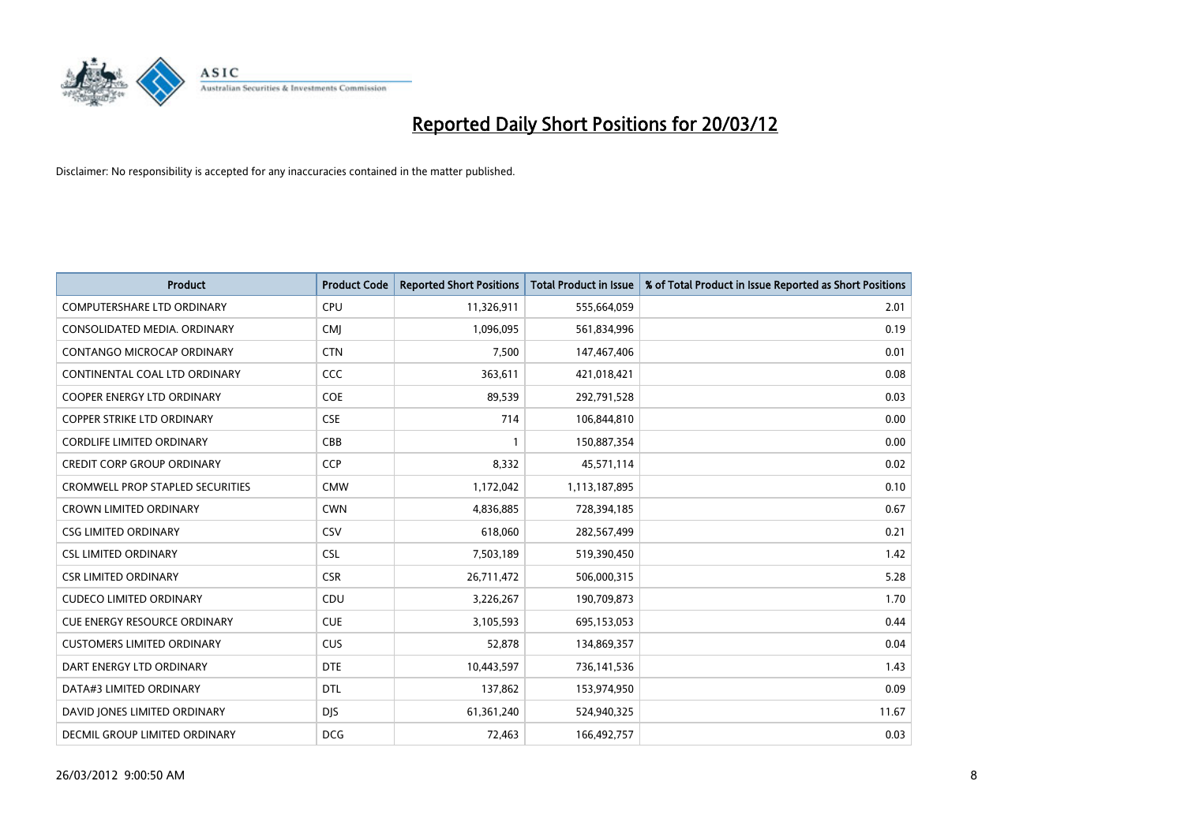

| <b>Product</b>                          | <b>Product Code</b> | <b>Reported Short Positions</b> | <b>Total Product in Issue</b> | % of Total Product in Issue Reported as Short Positions |
|-----------------------------------------|---------------------|---------------------------------|-------------------------------|---------------------------------------------------------|
| <b>COMPUTERSHARE LTD ORDINARY</b>       | <b>CPU</b>          | 11,326,911                      | 555,664,059                   | 2.01                                                    |
| CONSOLIDATED MEDIA. ORDINARY            | <b>CMI</b>          | 1,096,095                       | 561,834,996                   | 0.19                                                    |
| <b>CONTANGO MICROCAP ORDINARY</b>       | <b>CTN</b>          | 7,500                           | 147,467,406                   | 0.01                                                    |
| CONTINENTAL COAL LTD ORDINARY           | CCC                 | 363,611                         | 421,018,421                   | 0.08                                                    |
| <b>COOPER ENERGY LTD ORDINARY</b>       | <b>COE</b>          | 89,539                          | 292,791,528                   | 0.03                                                    |
| <b>COPPER STRIKE LTD ORDINARY</b>       | <b>CSE</b>          | 714                             | 106,844,810                   | 0.00                                                    |
| <b>CORDLIFE LIMITED ORDINARY</b>        | CBB                 |                                 | 150,887,354                   | 0.00                                                    |
| <b>CREDIT CORP GROUP ORDINARY</b>       | <b>CCP</b>          | 8,332                           | 45,571,114                    | 0.02                                                    |
| <b>CROMWELL PROP STAPLED SECURITIES</b> | <b>CMW</b>          | 1,172,042                       | 1,113,187,895                 | 0.10                                                    |
| <b>CROWN LIMITED ORDINARY</b>           | <b>CWN</b>          | 4,836,885                       | 728,394,185                   | 0.67                                                    |
| <b>CSG LIMITED ORDINARY</b>             | CSV                 | 618,060                         | 282,567,499                   | 0.21                                                    |
| <b>CSL LIMITED ORDINARY</b>             | <b>CSL</b>          | 7,503,189                       | 519,390,450                   | 1.42                                                    |
| <b>CSR LIMITED ORDINARY</b>             | <b>CSR</b>          | 26,711,472                      | 506,000,315                   | 5.28                                                    |
| <b>CUDECO LIMITED ORDINARY</b>          | CDU                 | 3,226,267                       | 190,709,873                   | 1.70                                                    |
| <b>CUE ENERGY RESOURCE ORDINARY</b>     | <b>CUE</b>          | 3,105,593                       | 695,153,053                   | 0.44                                                    |
| <b>CUSTOMERS LIMITED ORDINARY</b>       | <b>CUS</b>          | 52,878                          | 134,869,357                   | 0.04                                                    |
| DART ENERGY LTD ORDINARY                | <b>DTE</b>          | 10,443,597                      | 736,141,536                   | 1.43                                                    |
| DATA#3 LIMITED ORDINARY                 | <b>DTL</b>          | 137,862                         | 153,974,950                   | 0.09                                                    |
| DAVID JONES LIMITED ORDINARY            | <b>DJS</b>          | 61,361,240                      | 524,940,325                   | 11.67                                                   |
| DECMIL GROUP LIMITED ORDINARY           | <b>DCG</b>          | 72,463                          | 166,492,757                   | 0.03                                                    |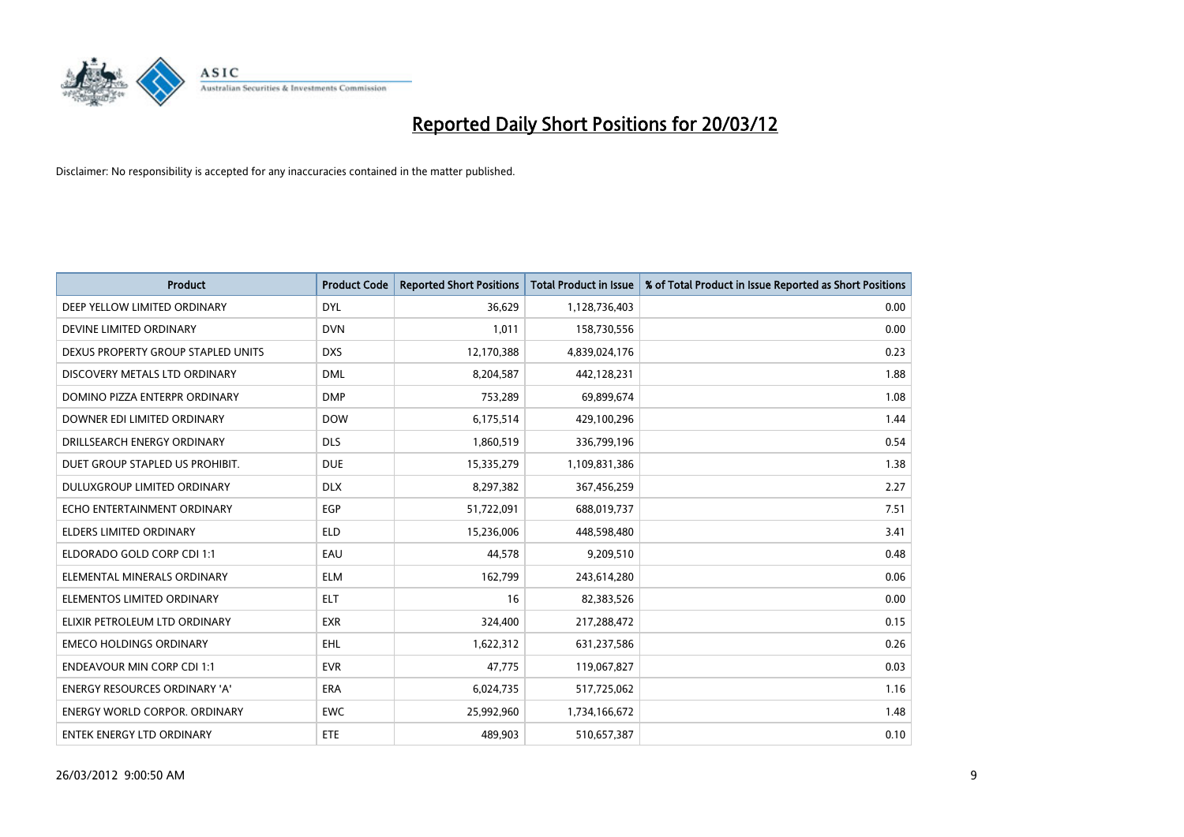

| <b>Product</b>                       | <b>Product Code</b> | <b>Reported Short Positions</b> | <b>Total Product in Issue</b> | % of Total Product in Issue Reported as Short Positions |
|--------------------------------------|---------------------|---------------------------------|-------------------------------|---------------------------------------------------------|
| DEEP YELLOW LIMITED ORDINARY         | <b>DYL</b>          | 36,629                          | 1,128,736,403                 | 0.00                                                    |
| DEVINE LIMITED ORDINARY              | <b>DVN</b>          | 1,011                           | 158,730,556                   | 0.00                                                    |
| DEXUS PROPERTY GROUP STAPLED UNITS   | <b>DXS</b>          | 12,170,388                      | 4,839,024,176                 | 0.23                                                    |
| DISCOVERY METALS LTD ORDINARY        | <b>DML</b>          | 8,204,587                       | 442,128,231                   | 1.88                                                    |
| DOMINO PIZZA ENTERPR ORDINARY        | <b>DMP</b>          | 753,289                         | 69,899,674                    | 1.08                                                    |
| DOWNER EDI LIMITED ORDINARY          | <b>DOW</b>          | 6,175,514                       | 429,100,296                   | 1.44                                                    |
| DRILLSEARCH ENERGY ORDINARY          | <b>DLS</b>          | 1,860,519                       | 336,799,196                   | 0.54                                                    |
| DUET GROUP STAPLED US PROHIBIT.      | <b>DUE</b>          | 15,335,279                      | 1,109,831,386                 | 1.38                                                    |
| DULUXGROUP LIMITED ORDINARY          | <b>DLX</b>          | 8,297,382                       | 367,456,259                   | 2.27                                                    |
| ECHO ENTERTAINMENT ORDINARY          | EGP                 | 51,722,091                      | 688,019,737                   | 7.51                                                    |
| ELDERS LIMITED ORDINARY              | ELD                 | 15,236,006                      | 448,598,480                   | 3.41                                                    |
| ELDORADO GOLD CORP CDI 1:1           | EAU                 | 44,578                          | 9,209,510                     | 0.48                                                    |
| ELEMENTAL MINERALS ORDINARY          | <b>ELM</b>          | 162,799                         | 243,614,280                   | 0.06                                                    |
| ELEMENTOS LIMITED ORDINARY           | <b>ELT</b>          | 16                              | 82,383,526                    | 0.00                                                    |
| ELIXIR PETROLEUM LTD ORDINARY        | <b>EXR</b>          | 324,400                         | 217,288,472                   | 0.15                                                    |
| <b>EMECO HOLDINGS ORDINARY</b>       | <b>EHL</b>          | 1,622,312                       | 631,237,586                   | 0.26                                                    |
| <b>ENDEAVOUR MIN CORP CDI 1:1</b>    | <b>EVR</b>          | 47,775                          | 119,067,827                   | 0.03                                                    |
| ENERGY RESOURCES ORDINARY 'A'        | <b>ERA</b>          | 6,024,735                       | 517,725,062                   | 1.16                                                    |
| <b>ENERGY WORLD CORPOR, ORDINARY</b> | <b>EWC</b>          | 25,992,960                      | 1,734,166,672                 | 1.48                                                    |
| <b>ENTEK ENERGY LTD ORDINARY</b>     | <b>ETE</b>          | 489,903                         | 510,657,387                   | 0.10                                                    |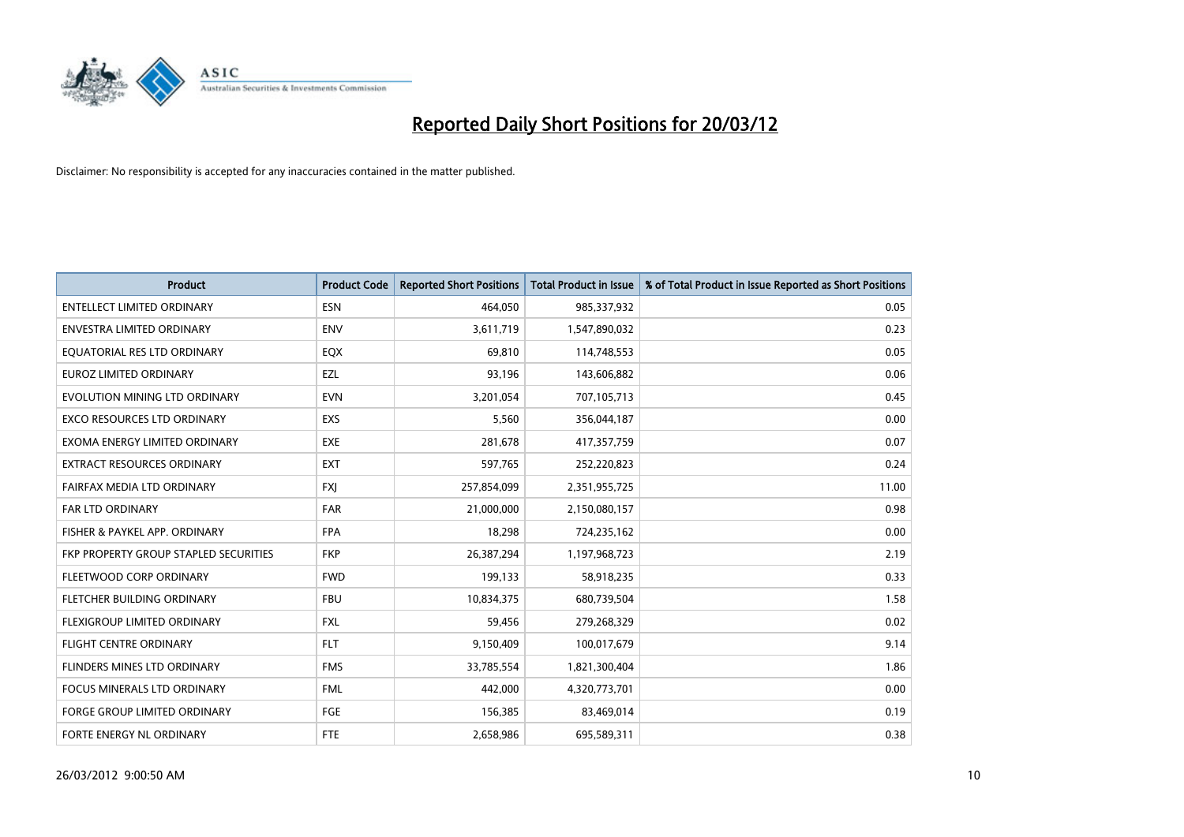

| <b>Product</b>                        | <b>Product Code</b> | <b>Reported Short Positions</b> | <b>Total Product in Issue</b> | % of Total Product in Issue Reported as Short Positions |
|---------------------------------------|---------------------|---------------------------------|-------------------------------|---------------------------------------------------------|
| <b>ENTELLECT LIMITED ORDINARY</b>     | <b>ESN</b>          | 464,050                         | 985,337,932                   | 0.05                                                    |
| ENVESTRA LIMITED ORDINARY             | <b>ENV</b>          | 3,611,719                       | 1,547,890,032                 | 0.23                                                    |
| EQUATORIAL RES LTD ORDINARY           | EQX                 | 69,810                          | 114,748,553                   | 0.05                                                    |
| EUROZ LIMITED ORDINARY                | EZL                 | 93,196                          | 143,606,882                   | 0.06                                                    |
| EVOLUTION MINING LTD ORDINARY         | <b>EVN</b>          | 3,201,054                       | 707,105,713                   | 0.45                                                    |
| <b>EXCO RESOURCES LTD ORDINARY</b>    | <b>EXS</b>          | 5,560                           | 356,044,187                   | 0.00                                                    |
| EXOMA ENERGY LIMITED ORDINARY         | EXE                 | 281,678                         | 417,357,759                   | 0.07                                                    |
| EXTRACT RESOURCES ORDINARY            | <b>EXT</b>          | 597,765                         | 252,220,823                   | 0.24                                                    |
| FAIRFAX MEDIA LTD ORDINARY            | <b>FXI</b>          | 257,854,099                     | 2,351,955,725                 | 11.00                                                   |
| <b>FAR LTD ORDINARY</b>               | <b>FAR</b>          | 21,000,000                      | 2,150,080,157                 | 0.98                                                    |
| FISHER & PAYKEL APP. ORDINARY         | <b>FPA</b>          | 18,298                          | 724,235,162                   | 0.00                                                    |
| FKP PROPERTY GROUP STAPLED SECURITIES | <b>FKP</b>          | 26,387,294                      | 1,197,968,723                 | 2.19                                                    |
| FLEETWOOD CORP ORDINARY               | <b>FWD</b>          | 199,133                         | 58,918,235                    | 0.33                                                    |
| FLETCHER BUILDING ORDINARY            | <b>FBU</b>          | 10,834,375                      | 680,739,504                   | 1.58                                                    |
| FLEXIGROUP LIMITED ORDINARY           | <b>FXL</b>          | 59,456                          | 279,268,329                   | 0.02                                                    |
| FLIGHT CENTRE ORDINARY                | <b>FLT</b>          | 9,150,409                       | 100,017,679                   | 9.14                                                    |
| FLINDERS MINES LTD ORDINARY           | <b>FMS</b>          | 33,785,554                      | 1,821,300,404                 | 1.86                                                    |
| <b>FOCUS MINERALS LTD ORDINARY</b>    | <b>FML</b>          | 442,000                         | 4,320,773,701                 | 0.00                                                    |
| FORGE GROUP LIMITED ORDINARY          | FGE                 | 156,385                         | 83,469,014                    | 0.19                                                    |
| <b>FORTE ENERGY NL ORDINARY</b>       | FTE                 | 2,658,986                       | 695,589,311                   | 0.38                                                    |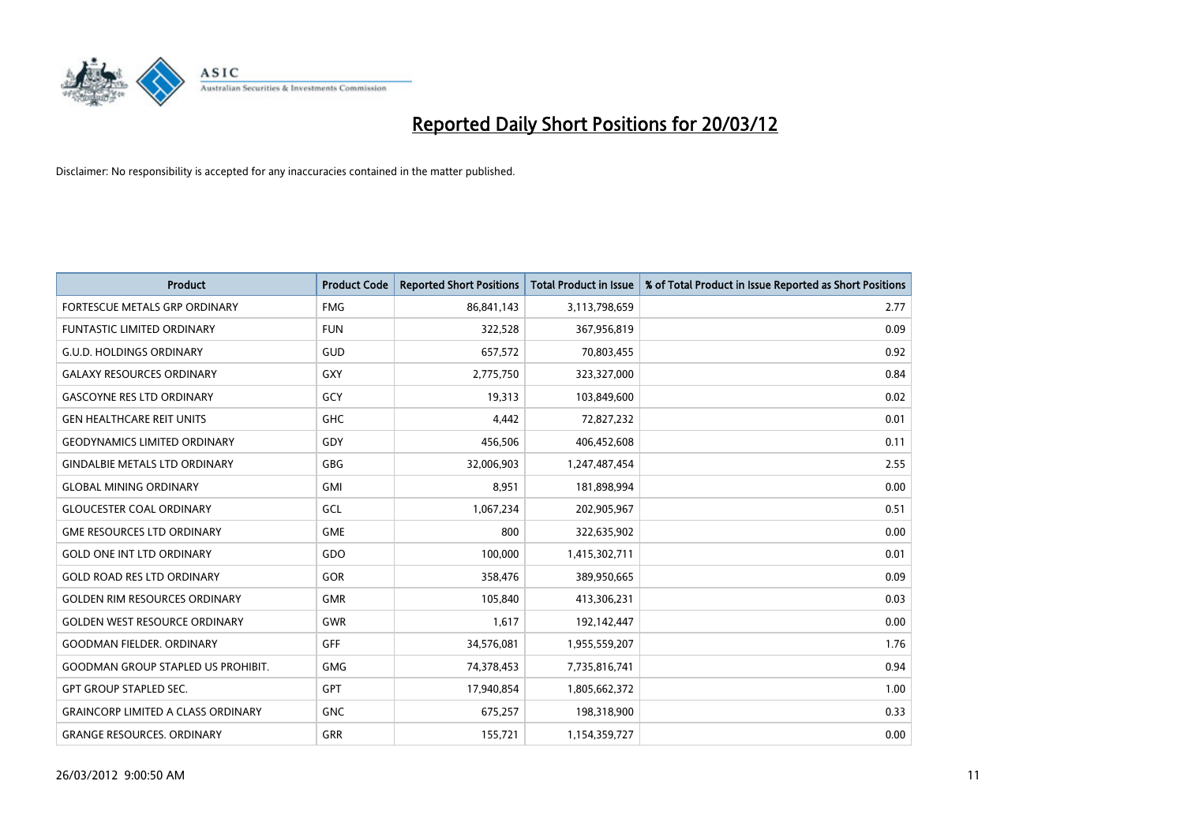

| <b>Product</b>                            | <b>Product Code</b> | <b>Reported Short Positions</b> | <b>Total Product in Issue</b> | % of Total Product in Issue Reported as Short Positions |
|-------------------------------------------|---------------------|---------------------------------|-------------------------------|---------------------------------------------------------|
| <b>FORTESCUE METALS GRP ORDINARY</b>      | <b>FMG</b>          | 86,841,143                      | 3,113,798,659                 | 2.77                                                    |
| <b>FUNTASTIC LIMITED ORDINARY</b>         | <b>FUN</b>          | 322,528                         | 367,956,819                   | 0.09                                                    |
| <b>G.U.D. HOLDINGS ORDINARY</b>           | GUD                 | 657,572                         | 70,803,455                    | 0.92                                                    |
| <b>GALAXY RESOURCES ORDINARY</b>          | GXY                 | 2,775,750                       | 323,327,000                   | 0.84                                                    |
| <b>GASCOYNE RES LTD ORDINARY</b>          | GCY                 | 19,313                          | 103,849,600                   | 0.02                                                    |
| <b>GEN HEALTHCARE REIT UNITS</b>          | GHC                 | 4,442                           | 72,827,232                    | 0.01                                                    |
| <b>GEODYNAMICS LIMITED ORDINARY</b>       | GDY                 | 456,506                         | 406,452,608                   | 0.11                                                    |
| <b>GINDALBIE METALS LTD ORDINARY</b>      | GBG                 | 32,006,903                      | 1,247,487,454                 | 2.55                                                    |
| <b>GLOBAL MINING ORDINARY</b>             | GMI                 | 8,951                           | 181,898,994                   | 0.00                                                    |
| <b>GLOUCESTER COAL ORDINARY</b>           | GCL                 | 1,067,234                       | 202,905,967                   | 0.51                                                    |
| <b>GME RESOURCES LTD ORDINARY</b>         | <b>GME</b>          | 800                             | 322,635,902                   | 0.00                                                    |
| <b>GOLD ONE INT LTD ORDINARY</b>          | GDO                 | 100,000                         | 1,415,302,711                 | 0.01                                                    |
| <b>GOLD ROAD RES LTD ORDINARY</b>         | GOR                 | 358,476                         | 389,950,665                   | 0.09                                                    |
| <b>GOLDEN RIM RESOURCES ORDINARY</b>      | <b>GMR</b>          | 105,840                         | 413,306,231                   | 0.03                                                    |
| <b>GOLDEN WEST RESOURCE ORDINARY</b>      | <b>GWR</b>          | 1,617                           | 192,142,447                   | 0.00                                                    |
| <b>GOODMAN FIELDER. ORDINARY</b>          | <b>GFF</b>          | 34,576,081                      | 1,955,559,207                 | 1.76                                                    |
| <b>GOODMAN GROUP STAPLED US PROHIBIT.</b> | <b>GMG</b>          | 74,378,453                      | 7,735,816,741                 | 0.94                                                    |
| <b>GPT GROUP STAPLED SEC.</b>             | <b>GPT</b>          | 17,940,854                      | 1,805,662,372                 | 1.00                                                    |
| <b>GRAINCORP LIMITED A CLASS ORDINARY</b> | <b>GNC</b>          | 675,257                         | 198,318,900                   | 0.33                                                    |
| <b>GRANGE RESOURCES, ORDINARY</b>         | <b>GRR</b>          | 155,721                         | 1,154,359,727                 | 0.00                                                    |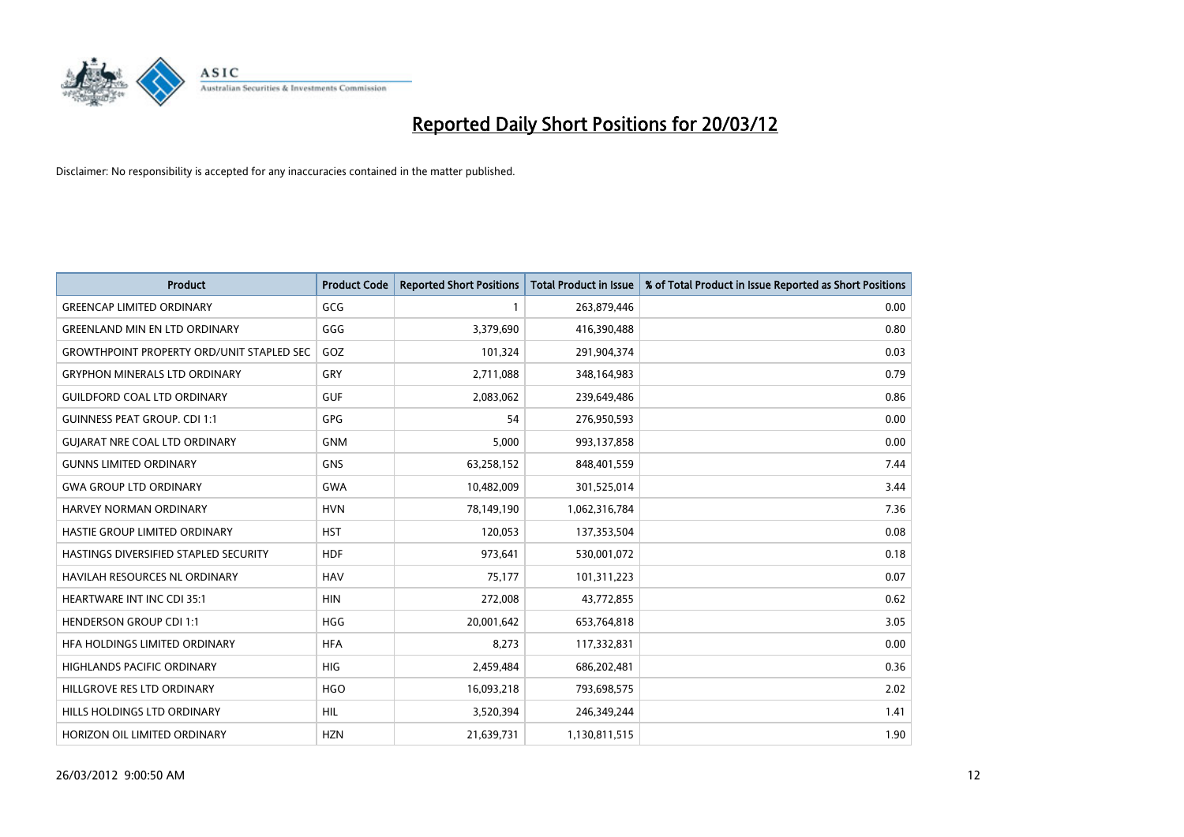

| <b>Product</b>                                   | <b>Product Code</b> | <b>Reported Short Positions</b> | <b>Total Product in Issue</b> | % of Total Product in Issue Reported as Short Positions |
|--------------------------------------------------|---------------------|---------------------------------|-------------------------------|---------------------------------------------------------|
| <b>GREENCAP LIMITED ORDINARY</b>                 | GCG                 | 1                               | 263,879,446                   | 0.00                                                    |
| <b>GREENLAND MIN EN LTD ORDINARY</b>             | GGG                 | 3,379,690                       | 416,390,488                   | 0.80                                                    |
| <b>GROWTHPOINT PROPERTY ORD/UNIT STAPLED SEC</b> | GOZ                 | 101,324                         | 291,904,374                   | 0.03                                                    |
| <b>GRYPHON MINERALS LTD ORDINARY</b>             | GRY                 | 2,711,088                       | 348,164,983                   | 0.79                                                    |
| <b>GUILDFORD COAL LTD ORDINARY</b>               | <b>GUF</b>          | 2,083,062                       | 239,649,486                   | 0.86                                                    |
| <b>GUINNESS PEAT GROUP. CDI 1:1</b>              | <b>GPG</b>          | 54                              | 276,950,593                   | 0.00                                                    |
| <b>GUIARAT NRE COAL LTD ORDINARY</b>             | <b>GNM</b>          | 5,000                           | 993,137,858                   | 0.00                                                    |
| <b>GUNNS LIMITED ORDINARY</b>                    | <b>GNS</b>          | 63,258,152                      | 848,401,559                   | 7.44                                                    |
| <b>GWA GROUP LTD ORDINARY</b>                    | <b>GWA</b>          | 10,482,009                      | 301,525,014                   | 3.44                                                    |
| <b>HARVEY NORMAN ORDINARY</b>                    | <b>HVN</b>          | 78,149,190                      | 1,062,316,784                 | 7.36                                                    |
| HASTIE GROUP LIMITED ORDINARY                    | <b>HST</b>          | 120,053                         | 137,353,504                   | 0.08                                                    |
| HASTINGS DIVERSIFIED STAPLED SECURITY            | <b>HDF</b>          | 973,641                         | 530,001,072                   | 0.18                                                    |
| HAVILAH RESOURCES NL ORDINARY                    | <b>HAV</b>          | 75,177                          | 101,311,223                   | 0.07                                                    |
| HEARTWARE INT INC CDI 35:1                       | <b>HIN</b>          | 272,008                         | 43,772,855                    | 0.62                                                    |
| <b>HENDERSON GROUP CDI 1:1</b>                   | <b>HGG</b>          | 20,001,642                      | 653,764,818                   | 3.05                                                    |
| <b>HFA HOLDINGS LIMITED ORDINARY</b>             | <b>HFA</b>          | 8,273                           | 117,332,831                   | 0.00                                                    |
| HIGHLANDS PACIFIC ORDINARY                       | <b>HIG</b>          | 2,459,484                       | 686,202,481                   | 0.36                                                    |
| HILLGROVE RES LTD ORDINARY                       | <b>HGO</b>          | 16,093,218                      | 793,698,575                   | 2.02                                                    |
| <b>HILLS HOLDINGS LTD ORDINARY</b>               | <b>HIL</b>          | 3,520,394                       | 246,349,244                   | 1.41                                                    |
| HORIZON OIL LIMITED ORDINARY                     | <b>HZN</b>          | 21,639,731                      | 1,130,811,515                 | 1.90                                                    |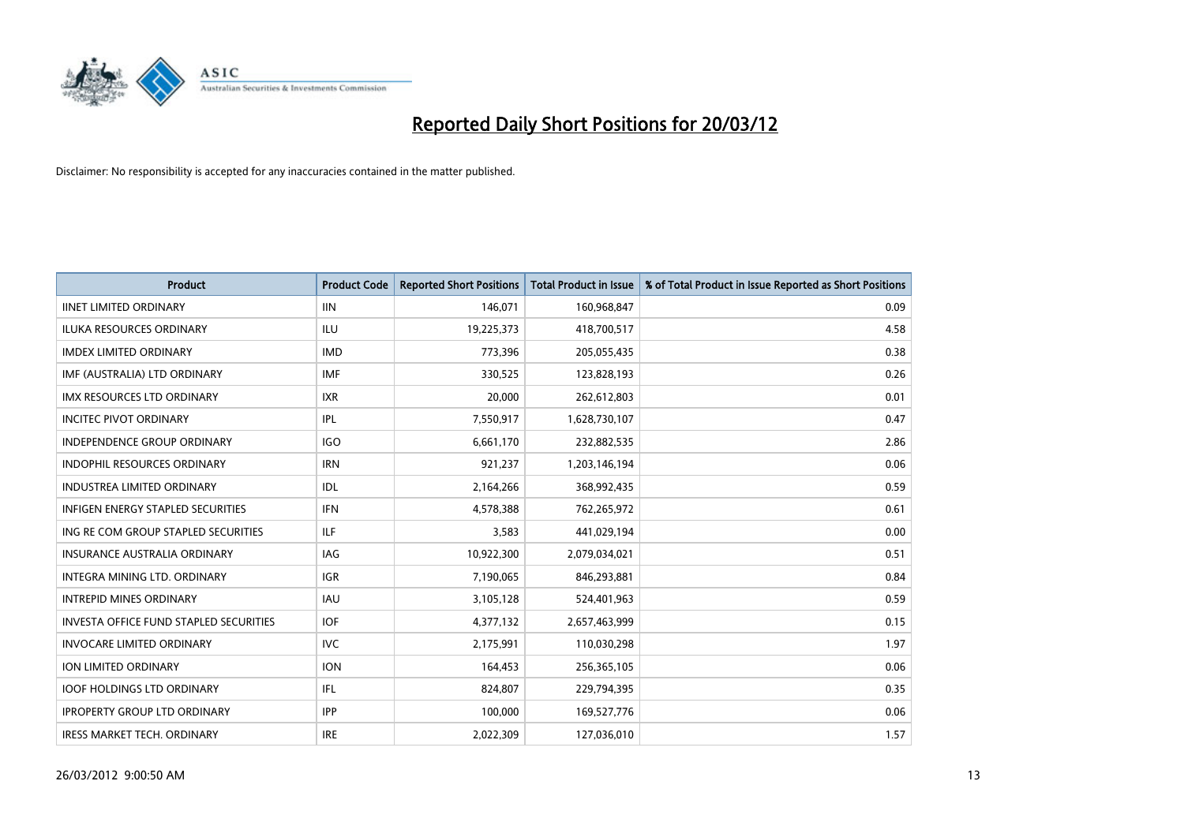

| <b>Product</b>                                | <b>Product Code</b> | <b>Reported Short Positions</b> | <b>Total Product in Issue</b> | % of Total Product in Issue Reported as Short Positions |
|-----------------------------------------------|---------------------|---------------------------------|-------------------------------|---------------------------------------------------------|
| <b>IINET LIMITED ORDINARY</b>                 | <b>IIN</b>          | 146,071                         | 160,968,847                   | 0.09                                                    |
| ILUKA RESOURCES ORDINARY                      | ILU                 | 19,225,373                      | 418,700,517                   | 4.58                                                    |
| <b>IMDEX LIMITED ORDINARY</b>                 | <b>IMD</b>          | 773,396                         | 205,055,435                   | 0.38                                                    |
| IMF (AUSTRALIA) LTD ORDINARY                  | <b>IMF</b>          | 330,525                         | 123,828,193                   | 0.26                                                    |
| <b>IMX RESOURCES LTD ORDINARY</b>             | <b>IXR</b>          | 20,000                          | 262,612,803                   | 0.01                                                    |
| <b>INCITEC PIVOT ORDINARY</b>                 | IPL                 | 7,550,917                       | 1,628,730,107                 | 0.47                                                    |
| <b>INDEPENDENCE GROUP ORDINARY</b>            | <b>IGO</b>          | 6,661,170                       | 232,882,535                   | 2.86                                                    |
| INDOPHIL RESOURCES ORDINARY                   | <b>IRN</b>          | 921,237                         | 1,203,146,194                 | 0.06                                                    |
| <b>INDUSTREA LIMITED ORDINARY</b>             | IDL                 | 2,164,266                       | 368,992,435                   | 0.59                                                    |
| <b>INFIGEN ENERGY STAPLED SECURITIES</b>      | <b>IFN</b>          | 4,578,388                       | 762,265,972                   | 0.61                                                    |
| ING RE COM GROUP STAPLED SECURITIES           | ILF.                | 3,583                           | 441,029,194                   | 0.00                                                    |
| <b>INSURANCE AUSTRALIA ORDINARY</b>           | IAG                 | 10,922,300                      | 2,079,034,021                 | 0.51                                                    |
| <b>INTEGRA MINING LTD, ORDINARY</b>           | <b>IGR</b>          | 7,190,065                       | 846,293,881                   | 0.84                                                    |
| <b>INTREPID MINES ORDINARY</b>                | <b>IAU</b>          | 3,105,128                       | 524,401,963                   | 0.59                                                    |
| <b>INVESTA OFFICE FUND STAPLED SECURITIES</b> | <b>IOF</b>          | 4,377,132                       | 2,657,463,999                 | 0.15                                                    |
| <b>INVOCARE LIMITED ORDINARY</b>              | <b>IVC</b>          | 2,175,991                       | 110,030,298                   | 1.97                                                    |
| ION LIMITED ORDINARY                          | <b>ION</b>          | 164,453                         | 256,365,105                   | 0.06                                                    |
| <b>IOOF HOLDINGS LTD ORDINARY</b>             | IFL                 | 824,807                         | 229,794,395                   | 0.35                                                    |
| <b>IPROPERTY GROUP LTD ORDINARY</b>           | <b>IPP</b>          | 100,000                         | 169,527,776                   | 0.06                                                    |
| IRESS MARKET TECH. ORDINARY                   | <b>IRE</b>          | 2,022,309                       | 127,036,010                   | 1.57                                                    |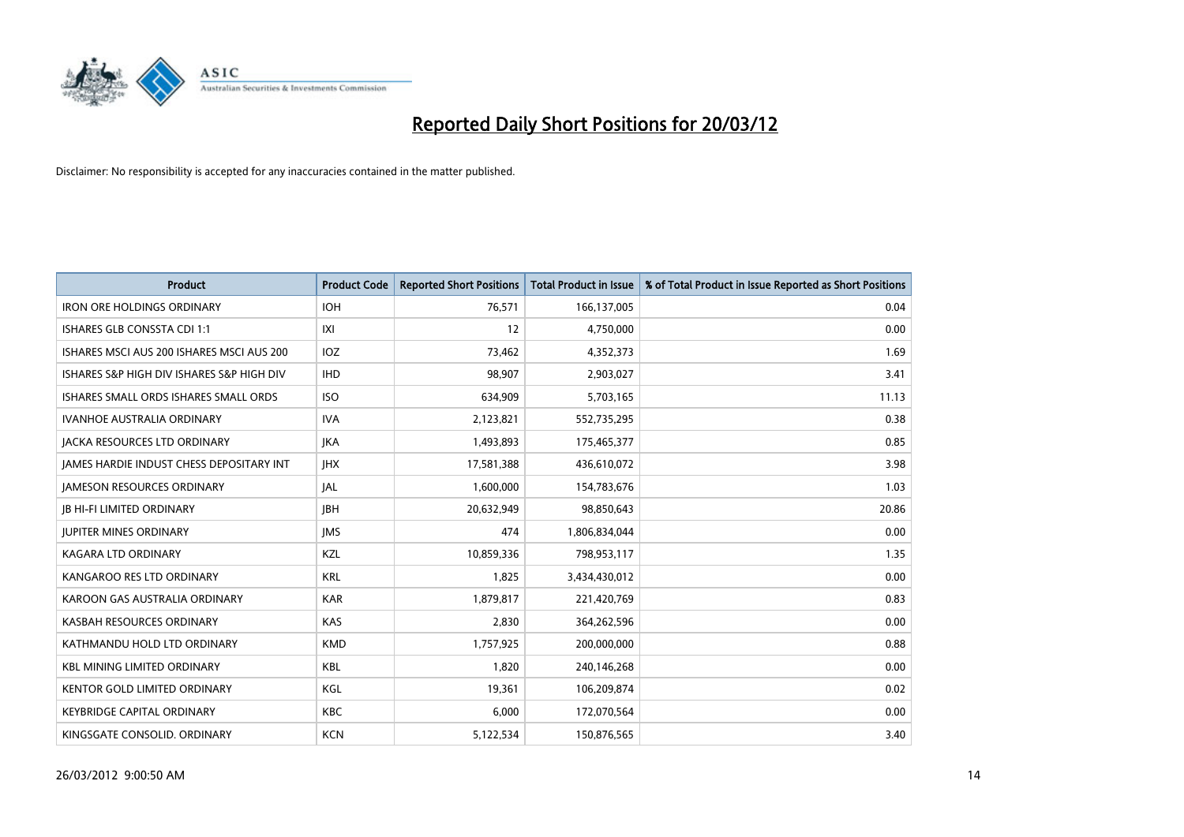

| <b>Product</b>                            | <b>Product Code</b> | <b>Reported Short Positions</b> | <b>Total Product in Issue</b> | % of Total Product in Issue Reported as Short Positions |
|-------------------------------------------|---------------------|---------------------------------|-------------------------------|---------------------------------------------------------|
| <b>IRON ORE HOLDINGS ORDINARY</b>         | <b>IOH</b>          | 76,571                          | 166,137,005                   | 0.04                                                    |
| ISHARES GLB CONSSTA CDI 1:1               | IXI                 | 12                              | 4,750,000                     | 0.00                                                    |
| ISHARES MSCI AUS 200 ISHARES MSCI AUS 200 | <b>IOZ</b>          | 73,462                          | 4,352,373                     | 1.69                                                    |
| ISHARES S&P HIGH DIV ISHARES S&P HIGH DIV | <b>IHD</b>          | 98,907                          | 2,903,027                     | 3.41                                                    |
| ISHARES SMALL ORDS ISHARES SMALL ORDS     | <b>ISO</b>          | 634,909                         | 5,703,165                     | 11.13                                                   |
| <b>IVANHOE AUSTRALIA ORDINARY</b>         | <b>IVA</b>          | 2,123,821                       | 552,735,295                   | 0.38                                                    |
| <b>JACKA RESOURCES LTD ORDINARY</b>       | <b>JKA</b>          | 1,493,893                       | 175,465,377                   | 0.85                                                    |
| JAMES HARDIE INDUST CHESS DEPOSITARY INT  | <b>IHX</b>          | 17,581,388                      | 436,610,072                   | 3.98                                                    |
| <b>JAMESON RESOURCES ORDINARY</b>         | JAL                 | 1,600,000                       | 154,783,676                   | 1.03                                                    |
| <b>JB HI-FI LIMITED ORDINARY</b>          | <b>IBH</b>          | 20,632,949                      | 98,850,643                    | 20.86                                                   |
| <b>JUPITER MINES ORDINARY</b>             | <b>IMS</b>          | 474                             | 1,806,834,044                 | 0.00                                                    |
| <b>KAGARA LTD ORDINARY</b>                | KZL                 | 10,859,336                      | 798,953,117                   | 1.35                                                    |
| KANGAROO RES LTD ORDINARY                 | <b>KRL</b>          | 1,825                           | 3,434,430,012                 | 0.00                                                    |
| KAROON GAS AUSTRALIA ORDINARY             | <b>KAR</b>          | 1,879,817                       | 221,420,769                   | 0.83                                                    |
| KASBAH RESOURCES ORDINARY                 | <b>KAS</b>          | 2,830                           | 364,262,596                   | 0.00                                                    |
| KATHMANDU HOLD LTD ORDINARY               | <b>KMD</b>          | 1,757,925                       | 200,000,000                   | 0.88                                                    |
| <b>KBL MINING LIMITED ORDINARY</b>        | <b>KBL</b>          | 1,820                           | 240,146,268                   | 0.00                                                    |
| <b>KENTOR GOLD LIMITED ORDINARY</b>       | KGL                 | 19,361                          | 106,209,874                   | 0.02                                                    |
| <b>KEYBRIDGE CAPITAL ORDINARY</b>         | <b>KBC</b>          | 6,000                           | 172,070,564                   | 0.00                                                    |
| KINGSGATE CONSOLID. ORDINARY              | <b>KCN</b>          | 5,122,534                       | 150,876,565                   | 3.40                                                    |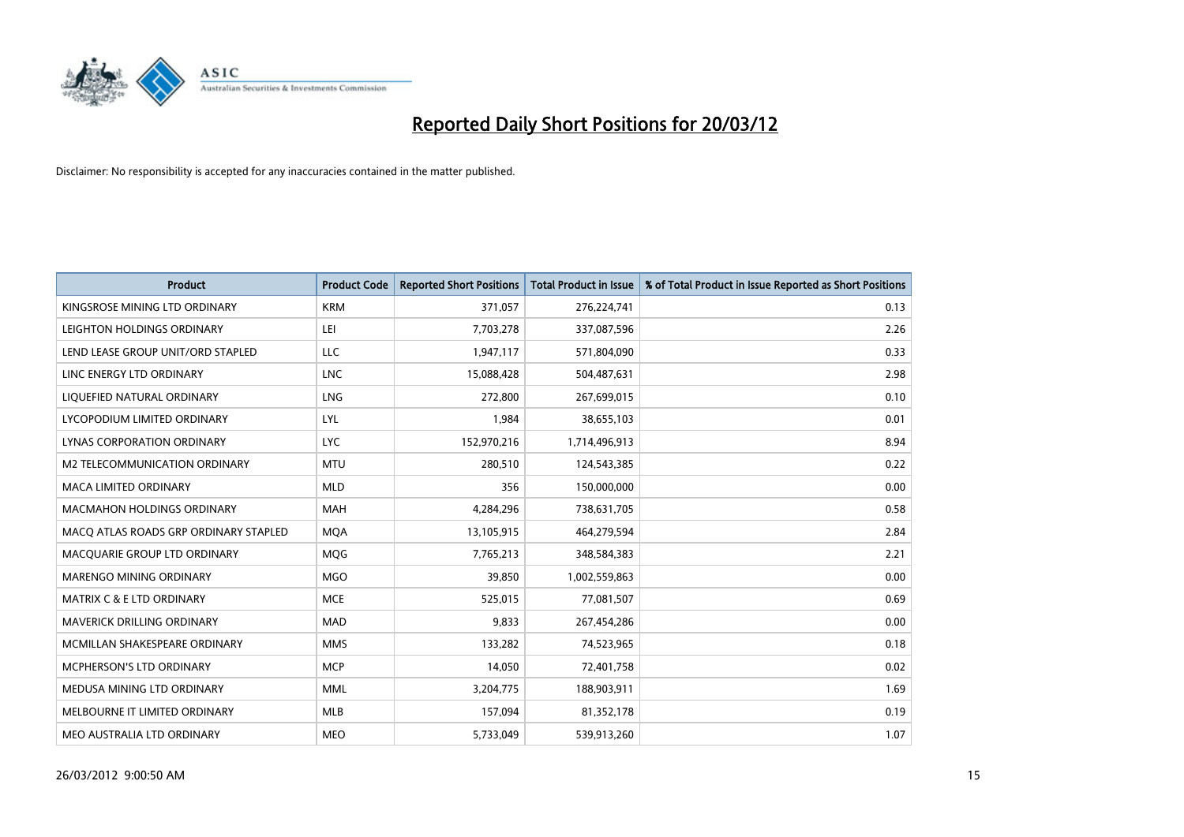

| <b>Product</b>                        | <b>Product Code</b> | <b>Reported Short Positions</b> | <b>Total Product in Issue</b> | % of Total Product in Issue Reported as Short Positions |
|---------------------------------------|---------------------|---------------------------------|-------------------------------|---------------------------------------------------------|
| KINGSROSE MINING LTD ORDINARY         | <b>KRM</b>          | 371,057                         | 276,224,741                   | 0.13                                                    |
| LEIGHTON HOLDINGS ORDINARY            | LEI                 | 7,703,278                       | 337,087,596                   | 2.26                                                    |
| LEND LEASE GROUP UNIT/ORD STAPLED     | LLC                 | 1,947,117                       | 571,804,090                   | 0.33                                                    |
| LINC ENERGY LTD ORDINARY              | <b>LNC</b>          | 15,088,428                      | 504,487,631                   | 2.98                                                    |
| LIQUEFIED NATURAL ORDINARY            | LNG                 | 272,800                         | 267,699,015                   | 0.10                                                    |
| LYCOPODIUM LIMITED ORDINARY           | LYL                 | 1,984                           | 38,655,103                    | 0.01                                                    |
| LYNAS CORPORATION ORDINARY            | <b>LYC</b>          | 152,970,216                     | 1,714,496,913                 | 8.94                                                    |
| M2 TELECOMMUNICATION ORDINARY         | <b>MTU</b>          | 280,510                         | 124,543,385                   | 0.22                                                    |
| <b>MACA LIMITED ORDINARY</b>          | <b>MLD</b>          | 356                             | 150,000,000                   | 0.00                                                    |
| <b>MACMAHON HOLDINGS ORDINARY</b>     | <b>MAH</b>          | 4,284,296                       | 738,631,705                   | 0.58                                                    |
| MACQ ATLAS ROADS GRP ORDINARY STAPLED | <b>MQA</b>          | 13,105,915                      | 464,279,594                   | 2.84                                                    |
| MACOUARIE GROUP LTD ORDINARY          | MQG                 | 7,765,213                       | 348,584,383                   | 2.21                                                    |
| MARENGO MINING ORDINARY               | <b>MGO</b>          | 39,850                          | 1,002,559,863                 | 0.00                                                    |
| <b>MATRIX C &amp; E LTD ORDINARY</b>  | <b>MCE</b>          | 525,015                         | 77,081,507                    | 0.69                                                    |
| MAVERICK DRILLING ORDINARY            | <b>MAD</b>          | 9,833                           | 267,454,286                   | 0.00                                                    |
| MCMILLAN SHAKESPEARE ORDINARY         | <b>MMS</b>          | 133,282                         | 74,523,965                    | 0.18                                                    |
| MCPHERSON'S LTD ORDINARY              | <b>MCP</b>          | 14,050                          | 72,401,758                    | 0.02                                                    |
| MEDUSA MINING LTD ORDINARY            | <b>MML</b>          | 3,204,775                       | 188,903,911                   | 1.69                                                    |
| MELBOURNE IT LIMITED ORDINARY         | <b>MLB</b>          | 157,094                         | 81,352,178                    | 0.19                                                    |
| MEO AUSTRALIA LTD ORDINARY            | <b>MEO</b>          | 5,733,049                       | 539,913,260                   | 1.07                                                    |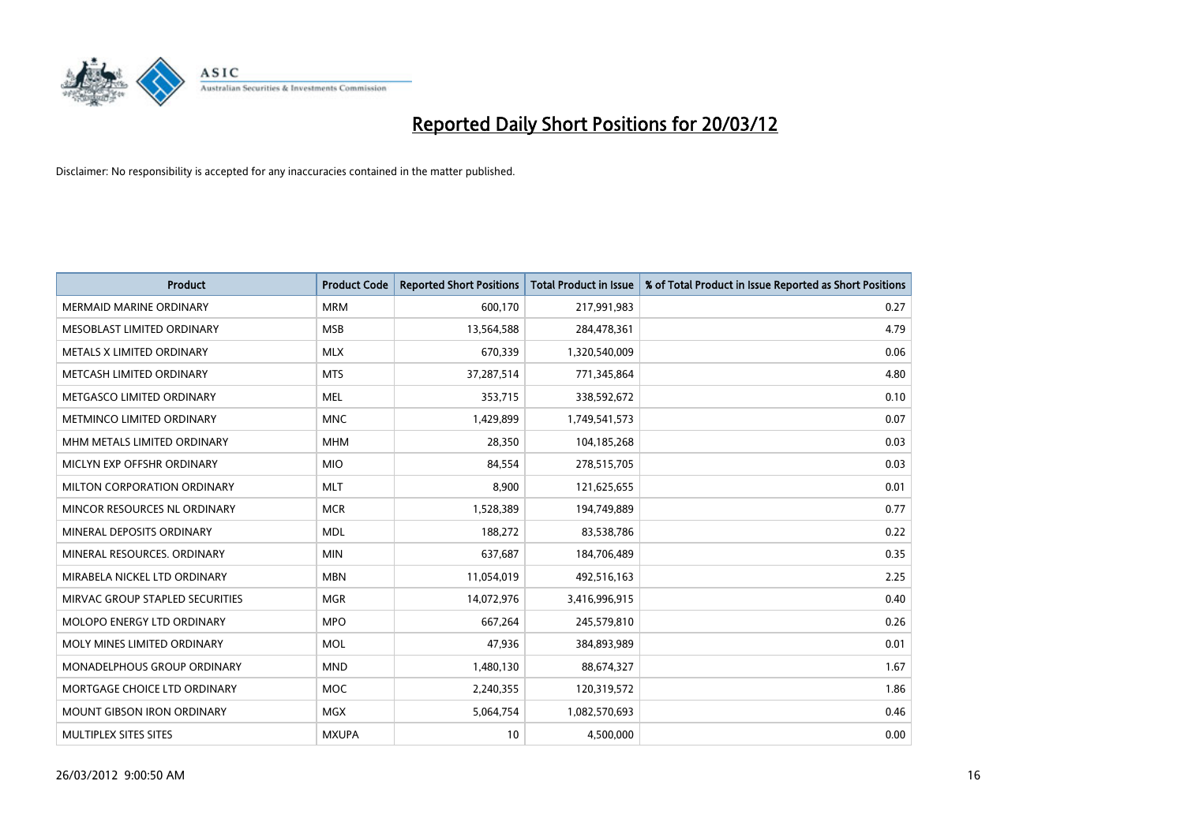

| <b>Product</b>                    | <b>Product Code</b> | <b>Reported Short Positions</b> | <b>Total Product in Issue</b> | % of Total Product in Issue Reported as Short Positions |
|-----------------------------------|---------------------|---------------------------------|-------------------------------|---------------------------------------------------------|
| <b>MERMAID MARINE ORDINARY</b>    | <b>MRM</b>          | 600,170                         | 217,991,983                   | 0.27                                                    |
| MESOBLAST LIMITED ORDINARY        | <b>MSB</b>          | 13,564,588                      | 284,478,361                   | 4.79                                                    |
| METALS X LIMITED ORDINARY         | <b>MLX</b>          | 670,339                         | 1,320,540,009                 | 0.06                                                    |
| METCASH LIMITED ORDINARY          | <b>MTS</b>          | 37,287,514                      | 771,345,864                   | 4.80                                                    |
| METGASCO LIMITED ORDINARY         | <b>MEL</b>          | 353,715                         | 338,592,672                   | 0.10                                                    |
| METMINCO LIMITED ORDINARY         | <b>MNC</b>          | 1,429,899                       | 1,749,541,573                 | 0.07                                                    |
| MHM METALS LIMITED ORDINARY       | <b>MHM</b>          | 28,350                          | 104,185,268                   | 0.03                                                    |
| MICLYN EXP OFFSHR ORDINARY        | <b>MIO</b>          | 84,554                          | 278,515,705                   | 0.03                                                    |
| MILTON CORPORATION ORDINARY       | <b>MLT</b>          | 8,900                           | 121,625,655                   | 0.01                                                    |
| MINCOR RESOURCES NL ORDINARY      | <b>MCR</b>          | 1,528,389                       | 194,749,889                   | 0.77                                                    |
| MINERAL DEPOSITS ORDINARY         | <b>MDL</b>          | 188,272                         | 83,538,786                    | 0.22                                                    |
| MINERAL RESOURCES, ORDINARY       | <b>MIN</b>          | 637,687                         | 184,706,489                   | 0.35                                                    |
| MIRABELA NICKEL LTD ORDINARY      | <b>MBN</b>          | 11,054,019                      | 492,516,163                   | 2.25                                                    |
| MIRVAC GROUP STAPLED SECURITIES   | <b>MGR</b>          | 14,072,976                      | 3,416,996,915                 | 0.40                                                    |
| MOLOPO ENERGY LTD ORDINARY        | <b>MPO</b>          | 667,264                         | 245,579,810                   | 0.26                                                    |
| MOLY MINES LIMITED ORDINARY       | <b>MOL</b>          | 47,936                          | 384,893,989                   | 0.01                                                    |
| MONADELPHOUS GROUP ORDINARY       | <b>MND</b>          | 1,480,130                       | 88,674,327                    | 1.67                                                    |
| MORTGAGE CHOICE LTD ORDINARY      | <b>MOC</b>          | 2,240,355                       | 120,319,572                   | 1.86                                                    |
| <b>MOUNT GIBSON IRON ORDINARY</b> | <b>MGX</b>          | 5,064,754                       | 1,082,570,693                 | 0.46                                                    |
| MULTIPLEX SITES SITES             | <b>MXUPA</b>        | 10                              | 4,500,000                     | 0.00                                                    |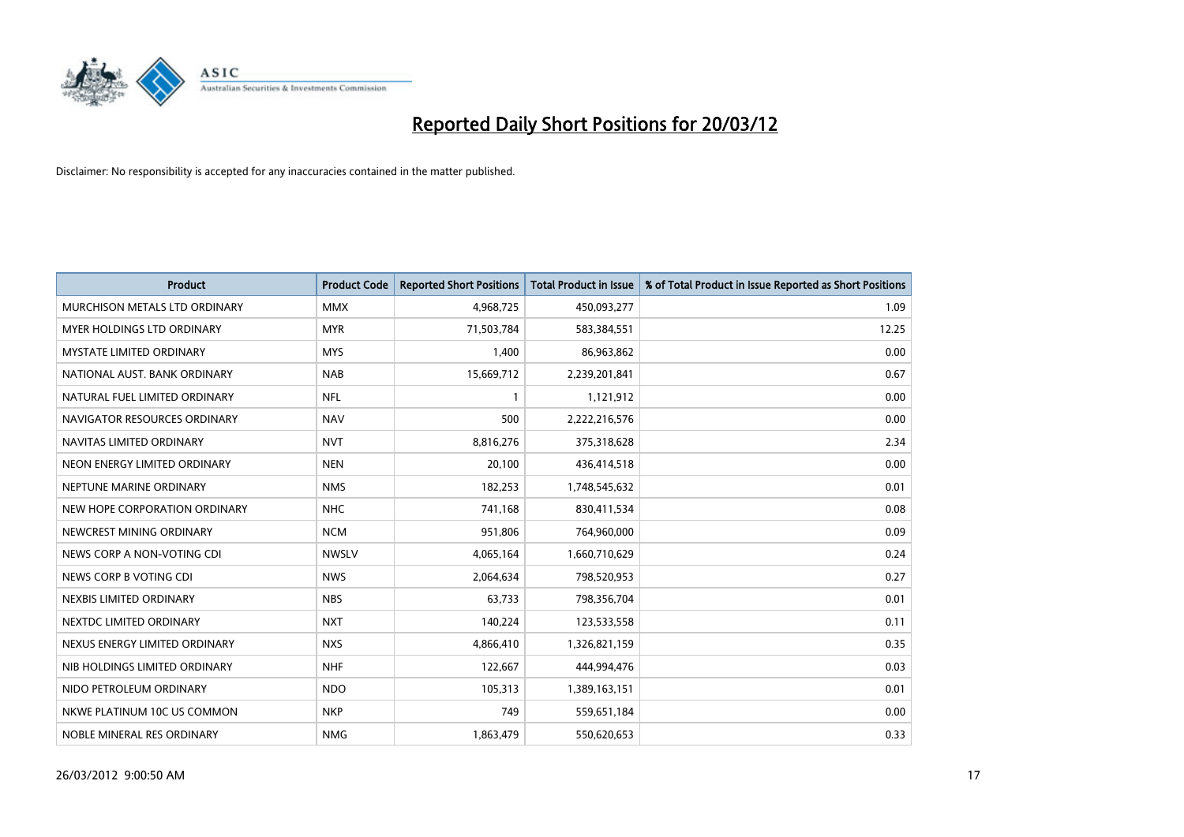

| <b>Product</b>                | <b>Product Code</b> | <b>Reported Short Positions</b> | <b>Total Product in Issue</b> | % of Total Product in Issue Reported as Short Positions |
|-------------------------------|---------------------|---------------------------------|-------------------------------|---------------------------------------------------------|
| MURCHISON METALS LTD ORDINARY | <b>MMX</b>          | 4,968,725                       | 450,093,277                   | 1.09                                                    |
| MYER HOLDINGS LTD ORDINARY    | <b>MYR</b>          | 71,503,784                      | 583,384,551                   | 12.25                                                   |
| MYSTATE LIMITED ORDINARY      | <b>MYS</b>          | 1,400                           | 86,963,862                    | 0.00                                                    |
| NATIONAL AUST. BANK ORDINARY  | <b>NAB</b>          | 15,669,712                      | 2,239,201,841                 | 0.67                                                    |
| NATURAL FUEL LIMITED ORDINARY | <b>NFL</b>          | 1                               | 1,121,912                     | 0.00                                                    |
| NAVIGATOR RESOURCES ORDINARY  | <b>NAV</b>          | 500                             | 2,222,216,576                 | 0.00                                                    |
| NAVITAS LIMITED ORDINARY      | <b>NVT</b>          | 8,816,276                       | 375,318,628                   | 2.34                                                    |
| NEON ENERGY LIMITED ORDINARY  | <b>NEN</b>          | 20,100                          | 436,414,518                   | 0.00                                                    |
| NEPTUNE MARINE ORDINARY       | <b>NMS</b>          | 182,253                         | 1,748,545,632                 | 0.01                                                    |
| NEW HOPE CORPORATION ORDINARY | <b>NHC</b>          | 741,168                         | 830,411,534                   | 0.08                                                    |
| NEWCREST MINING ORDINARY      | <b>NCM</b>          | 951,806                         | 764,960,000                   | 0.09                                                    |
| NEWS CORP A NON-VOTING CDI    | <b>NWSLV</b>        | 4,065,164                       | 1,660,710,629                 | 0.24                                                    |
| NEWS CORP B VOTING CDI        | <b>NWS</b>          | 2,064,634                       | 798,520,953                   | 0.27                                                    |
| NEXBIS LIMITED ORDINARY       | <b>NBS</b>          | 63,733                          | 798,356,704                   | 0.01                                                    |
| NEXTDC LIMITED ORDINARY       | <b>NXT</b>          | 140,224                         | 123,533,558                   | 0.11                                                    |
| NEXUS ENERGY LIMITED ORDINARY | <b>NXS</b>          | 4,866,410                       | 1,326,821,159                 | 0.35                                                    |
| NIB HOLDINGS LIMITED ORDINARY | <b>NHF</b>          | 122,667                         | 444,994,476                   | 0.03                                                    |
| NIDO PETROLEUM ORDINARY       | <b>NDO</b>          | 105,313                         | 1,389,163,151                 | 0.01                                                    |
| NKWE PLATINUM 10C US COMMON   | <b>NKP</b>          | 749                             | 559,651,184                   | 0.00                                                    |
| NOBLE MINERAL RES ORDINARY    | <b>NMG</b>          | 1,863,479                       | 550,620,653                   | 0.33                                                    |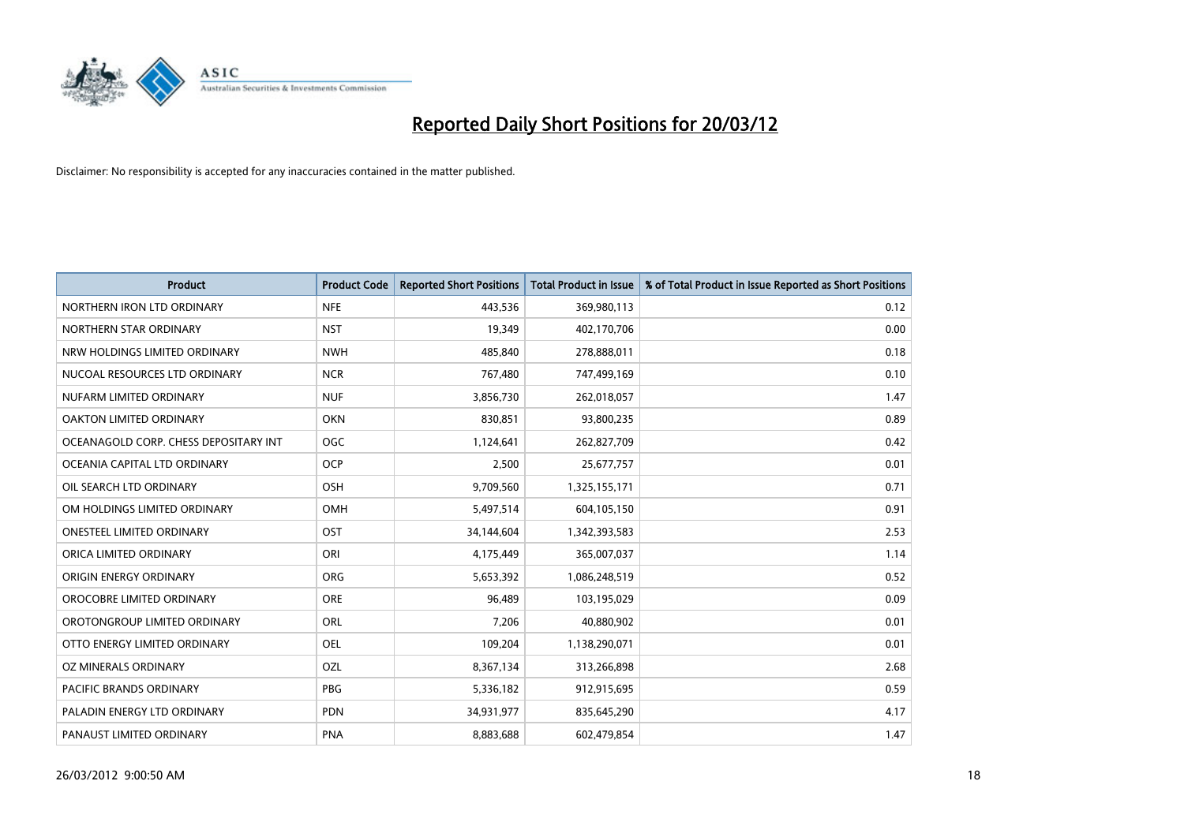

| <b>Product</b>                        | <b>Product Code</b> | <b>Reported Short Positions</b> | <b>Total Product in Issue</b> | % of Total Product in Issue Reported as Short Positions |
|---------------------------------------|---------------------|---------------------------------|-------------------------------|---------------------------------------------------------|
| NORTHERN IRON LTD ORDINARY            | <b>NFE</b>          | 443,536                         | 369,980,113                   | 0.12                                                    |
| NORTHERN STAR ORDINARY                | <b>NST</b>          | 19,349                          | 402,170,706                   | 0.00                                                    |
| NRW HOLDINGS LIMITED ORDINARY         | <b>NWH</b>          | 485,840                         | 278,888,011                   | 0.18                                                    |
| NUCOAL RESOURCES LTD ORDINARY         | <b>NCR</b>          | 767,480                         | 747,499,169                   | 0.10                                                    |
| NUFARM LIMITED ORDINARY               | <b>NUF</b>          | 3,856,730                       | 262,018,057                   | 1.47                                                    |
| <b>OAKTON LIMITED ORDINARY</b>        | <b>OKN</b>          | 830,851                         | 93,800,235                    | 0.89                                                    |
| OCEANAGOLD CORP. CHESS DEPOSITARY INT | OGC                 | 1,124,641                       | 262,827,709                   | 0.42                                                    |
| OCEANIA CAPITAL LTD ORDINARY          | <b>OCP</b>          | 2,500                           | 25,677,757                    | 0.01                                                    |
| OIL SEARCH LTD ORDINARY               | OSH                 | 9,709,560                       | 1,325,155,171                 | 0.71                                                    |
| OM HOLDINGS LIMITED ORDINARY          | OMH                 | 5,497,514                       | 604,105,150                   | 0.91                                                    |
| ONESTEEL LIMITED ORDINARY             | OST                 | 34,144,604                      | 1,342,393,583                 | 2.53                                                    |
| ORICA LIMITED ORDINARY                | ORI                 | 4,175,449                       | 365,007,037                   | 1.14                                                    |
| ORIGIN ENERGY ORDINARY                | <b>ORG</b>          | 5,653,392                       | 1,086,248,519                 | 0.52                                                    |
| OROCOBRE LIMITED ORDINARY             | <b>ORE</b>          | 96,489                          | 103,195,029                   | 0.09                                                    |
| OROTONGROUP LIMITED ORDINARY          | ORL                 | 7,206                           | 40,880,902                    | 0.01                                                    |
| OTTO ENERGY LIMITED ORDINARY          | OEL                 | 109,204                         | 1,138,290,071                 | 0.01                                                    |
| OZ MINERALS ORDINARY                  | OZL                 | 8,367,134                       | 313,266,898                   | 2.68                                                    |
| <b>PACIFIC BRANDS ORDINARY</b>        | <b>PBG</b>          | 5,336,182                       | 912,915,695                   | 0.59                                                    |
| PALADIN ENERGY LTD ORDINARY           | <b>PDN</b>          | 34,931,977                      | 835,645,290                   | 4.17                                                    |
| PANAUST LIMITED ORDINARY              | <b>PNA</b>          | 8,883,688                       | 602,479,854                   | 1.47                                                    |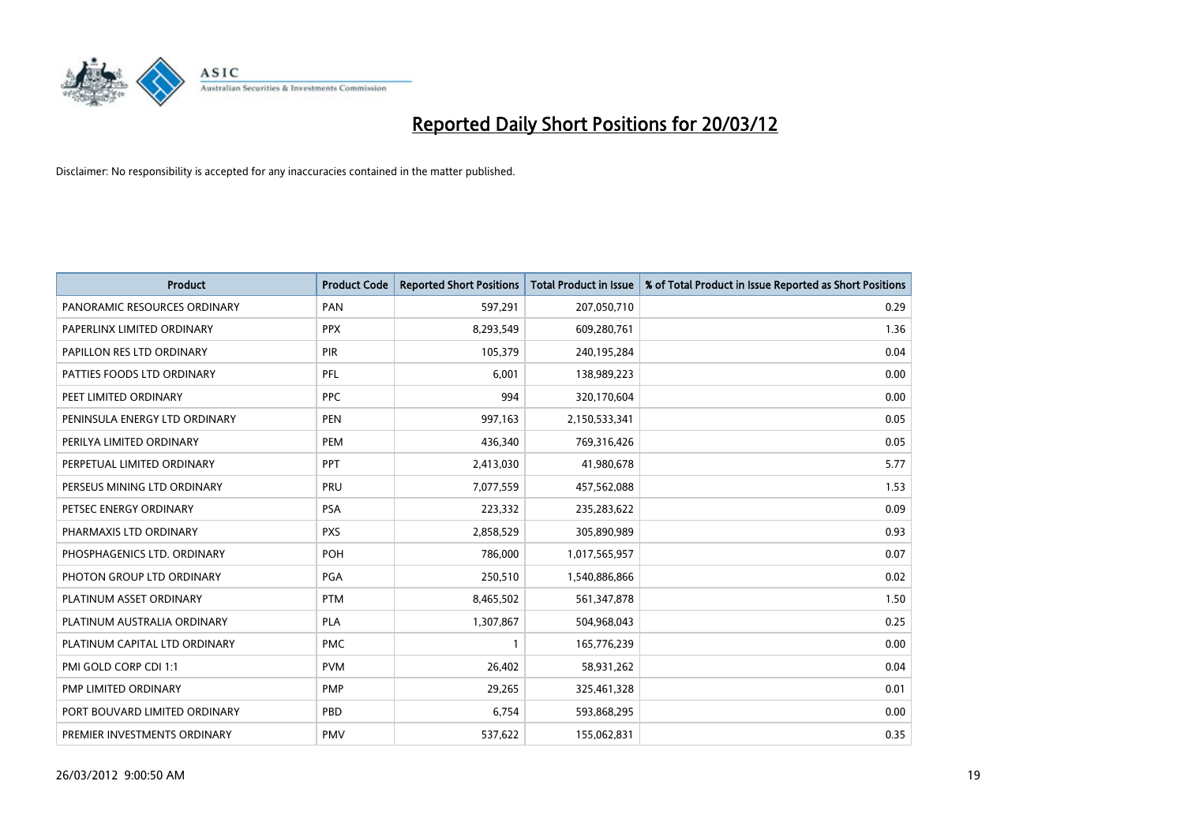

| <b>Product</b>                | <b>Product Code</b> | <b>Reported Short Positions</b> | <b>Total Product in Issue</b> | % of Total Product in Issue Reported as Short Positions |
|-------------------------------|---------------------|---------------------------------|-------------------------------|---------------------------------------------------------|
| PANORAMIC RESOURCES ORDINARY  | PAN                 | 597,291                         | 207,050,710                   | 0.29                                                    |
| PAPERLINX LIMITED ORDINARY    | <b>PPX</b>          | 8,293,549                       | 609,280,761                   | 1.36                                                    |
| PAPILLON RES LTD ORDINARY     | <b>PIR</b>          | 105,379                         | 240,195,284                   | 0.04                                                    |
| PATTIES FOODS LTD ORDINARY    | PFL                 | 6,001                           | 138,989,223                   | 0.00                                                    |
| PEET LIMITED ORDINARY         | <b>PPC</b>          | 994                             | 320,170,604                   | 0.00                                                    |
| PENINSULA ENERGY LTD ORDINARY | <b>PEN</b>          | 997,163                         | 2,150,533,341                 | 0.05                                                    |
| PERILYA LIMITED ORDINARY      | <b>PEM</b>          | 436,340                         | 769,316,426                   | 0.05                                                    |
| PERPETUAL LIMITED ORDINARY    | PPT                 | 2,413,030                       | 41,980,678                    | 5.77                                                    |
| PERSEUS MINING LTD ORDINARY   | PRU                 | 7,077,559                       | 457,562,088                   | 1.53                                                    |
| PETSEC ENERGY ORDINARY        | <b>PSA</b>          | 223,332                         | 235,283,622                   | 0.09                                                    |
| PHARMAXIS LTD ORDINARY        | <b>PXS</b>          | 2,858,529                       | 305,890,989                   | 0.93                                                    |
| PHOSPHAGENICS LTD. ORDINARY   | POH                 | 786,000                         | 1,017,565,957                 | 0.07                                                    |
| PHOTON GROUP LTD ORDINARY     | PGA                 | 250,510                         | 1,540,886,866                 | 0.02                                                    |
| PLATINUM ASSET ORDINARY       | <b>PTM</b>          | 8,465,502                       | 561,347,878                   | 1.50                                                    |
| PLATINUM AUSTRALIA ORDINARY   | PLA                 | 1,307,867                       | 504,968,043                   | 0.25                                                    |
| PLATINUM CAPITAL LTD ORDINARY | <b>PMC</b>          |                                 | 165,776,239                   | 0.00                                                    |
| PMI GOLD CORP CDI 1:1         | <b>PVM</b>          | 26,402                          | 58,931,262                    | 0.04                                                    |
| PMP LIMITED ORDINARY          | <b>PMP</b>          | 29,265                          | 325,461,328                   | 0.01                                                    |
| PORT BOUVARD LIMITED ORDINARY | PBD                 | 6,754                           | 593,868,295                   | 0.00                                                    |
| PREMIER INVESTMENTS ORDINARY  | <b>PMV</b>          | 537,622                         | 155,062,831                   | 0.35                                                    |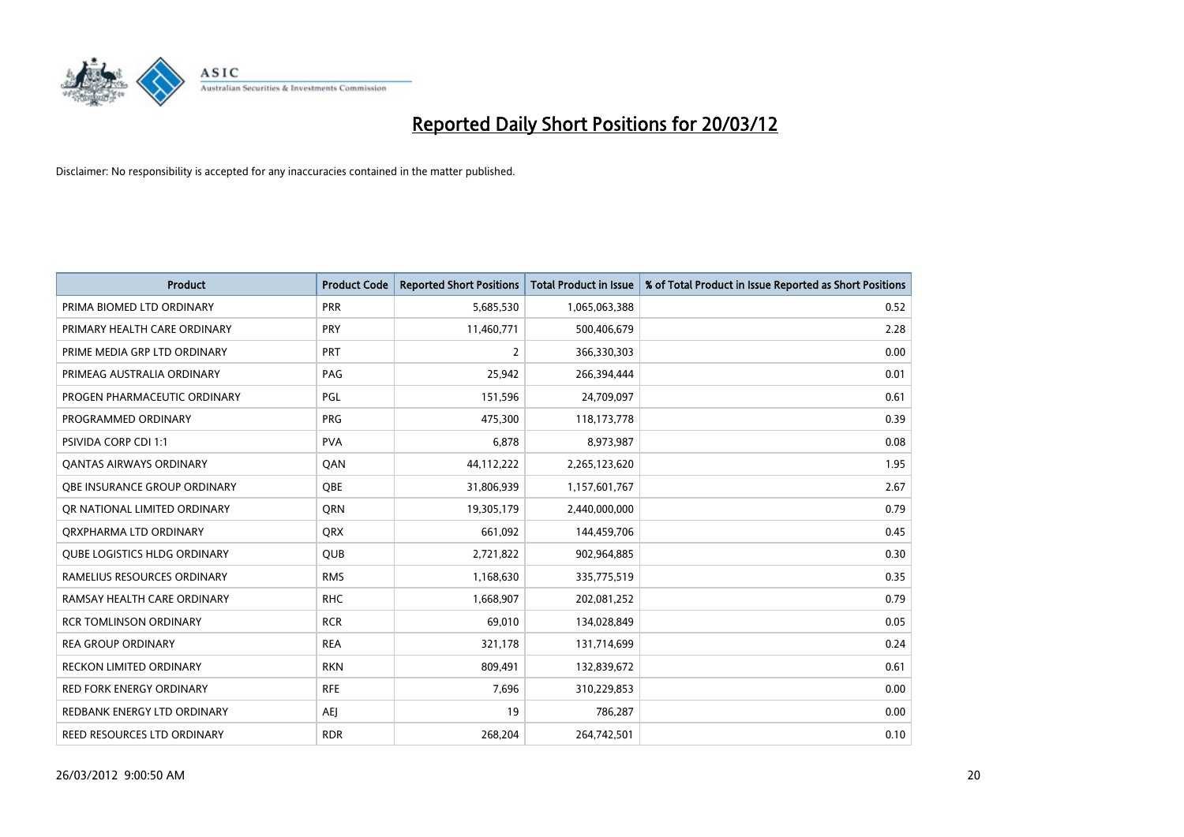

| <b>Product</b>                      | <b>Product Code</b> | <b>Reported Short Positions</b> | Total Product in Issue | % of Total Product in Issue Reported as Short Positions |
|-------------------------------------|---------------------|---------------------------------|------------------------|---------------------------------------------------------|
| PRIMA BIOMED LTD ORDINARY           | <b>PRR</b>          | 5,685,530                       | 1,065,063,388          | 0.52                                                    |
| PRIMARY HEALTH CARE ORDINARY        | <b>PRY</b>          | 11,460,771                      | 500,406,679            | 2.28                                                    |
| PRIME MEDIA GRP LTD ORDINARY        | <b>PRT</b>          | $\overline{2}$                  | 366,330,303            | 0.00                                                    |
| PRIMEAG AUSTRALIA ORDINARY          | PAG                 | 25,942                          | 266,394,444            | 0.01                                                    |
| PROGEN PHARMACEUTIC ORDINARY        | <b>PGL</b>          | 151,596                         | 24,709,097             | 0.61                                                    |
| PROGRAMMED ORDINARY                 | <b>PRG</b>          | 475,300                         | 118,173,778            | 0.39                                                    |
| <b>PSIVIDA CORP CDI 1:1</b>         | <b>PVA</b>          | 6,878                           | 8,973,987              | 0.08                                                    |
| <b>QANTAS AIRWAYS ORDINARY</b>      | QAN                 | 44,112,222                      | 2,265,123,620          | 1.95                                                    |
| OBE INSURANCE GROUP ORDINARY        | <b>OBE</b>          | 31,806,939                      | 1,157,601,767          | 2.67                                                    |
| OR NATIONAL LIMITED ORDINARY        | <b>ORN</b>          | 19,305,179                      | 2,440,000,000          | 0.79                                                    |
| ORXPHARMA LTD ORDINARY              | QRX                 | 661,092                         | 144,459,706            | 0.45                                                    |
| <b>QUBE LOGISTICS HLDG ORDINARY</b> | <b>QUB</b>          | 2,721,822                       | 902,964,885            | 0.30                                                    |
| RAMELIUS RESOURCES ORDINARY         | <b>RMS</b>          | 1,168,630                       | 335,775,519            | 0.35                                                    |
| RAMSAY HEALTH CARE ORDINARY         | <b>RHC</b>          | 1,668,907                       | 202,081,252            | 0.79                                                    |
| <b>RCR TOMLINSON ORDINARY</b>       | <b>RCR</b>          | 69,010                          | 134,028,849            | 0.05                                                    |
| <b>REA GROUP ORDINARY</b>           | <b>REA</b>          | 321,178                         | 131,714,699            | 0.24                                                    |
| RECKON LIMITED ORDINARY             | <b>RKN</b>          | 809,491                         | 132,839,672            | 0.61                                                    |
| <b>RED FORK ENERGY ORDINARY</b>     | <b>RFE</b>          | 7,696                           | 310,229,853            | 0.00                                                    |
| REDBANK ENERGY LTD ORDINARY         | <b>AEI</b>          | 19                              | 786,287                | 0.00                                                    |
| REED RESOURCES LTD ORDINARY         | <b>RDR</b>          | 268,204                         | 264,742,501            | 0.10                                                    |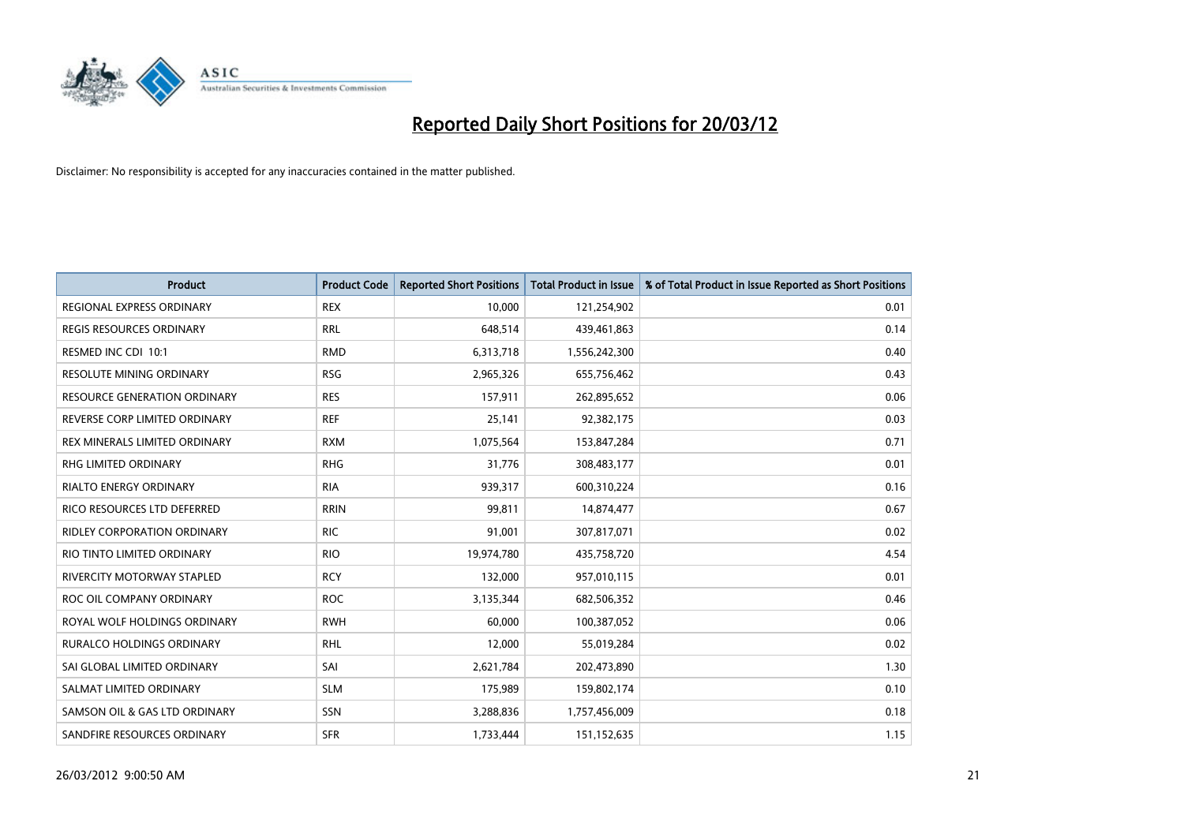

| <b>Product</b>                      | <b>Product Code</b> | <b>Reported Short Positions</b> | <b>Total Product in Issue</b> | % of Total Product in Issue Reported as Short Positions |
|-------------------------------------|---------------------|---------------------------------|-------------------------------|---------------------------------------------------------|
| REGIONAL EXPRESS ORDINARY           | <b>REX</b>          | 10,000                          | 121,254,902                   | 0.01                                                    |
| <b>REGIS RESOURCES ORDINARY</b>     | <b>RRL</b>          | 648,514                         | 439,461,863                   | 0.14                                                    |
| RESMED INC CDI 10:1                 | <b>RMD</b>          | 6,313,718                       | 1,556,242,300                 | 0.40                                                    |
| RESOLUTE MINING ORDINARY            | <b>RSG</b>          | 2,965,326                       | 655,756,462                   | 0.43                                                    |
| <b>RESOURCE GENERATION ORDINARY</b> | <b>RES</b>          | 157,911                         | 262,895,652                   | 0.06                                                    |
| REVERSE CORP LIMITED ORDINARY       | <b>REF</b>          | 25,141                          | 92,382,175                    | 0.03                                                    |
| REX MINERALS LIMITED ORDINARY       | <b>RXM</b>          | 1,075,564                       | 153,847,284                   | 0.71                                                    |
| RHG LIMITED ORDINARY                | <b>RHG</b>          | 31,776                          | 308,483,177                   | 0.01                                                    |
| <b>RIALTO ENERGY ORDINARY</b>       | <b>RIA</b>          | 939,317                         | 600,310,224                   | 0.16                                                    |
| RICO RESOURCES LTD DEFERRED         | <b>RRIN</b>         | 99,811                          | 14,874,477                    | 0.67                                                    |
| <b>RIDLEY CORPORATION ORDINARY</b>  | <b>RIC</b>          | 91,001                          | 307,817,071                   | 0.02                                                    |
| RIO TINTO LIMITED ORDINARY          | <b>RIO</b>          | 19,974,780                      | 435,758,720                   | 4.54                                                    |
| <b>RIVERCITY MOTORWAY STAPLED</b>   | <b>RCY</b>          | 132,000                         | 957,010,115                   | 0.01                                                    |
| ROC OIL COMPANY ORDINARY            | <b>ROC</b>          | 3,135,344                       | 682,506,352                   | 0.46                                                    |
| ROYAL WOLF HOLDINGS ORDINARY        | <b>RWH</b>          | 60.000                          | 100,387,052                   | 0.06                                                    |
| RURALCO HOLDINGS ORDINARY           | <b>RHL</b>          | 12,000                          | 55,019,284                    | 0.02                                                    |
| SAI GLOBAL LIMITED ORDINARY         | SAI                 | 2,621,784                       | 202,473,890                   | 1.30                                                    |
| SALMAT LIMITED ORDINARY             | <b>SLM</b>          | 175,989                         | 159,802,174                   | 0.10                                                    |
| SAMSON OIL & GAS LTD ORDINARY       | SSN                 | 3,288,836                       | 1,757,456,009                 | 0.18                                                    |
| SANDFIRE RESOURCES ORDINARY         | <b>SFR</b>          | 1,733,444                       | 151,152,635                   | 1.15                                                    |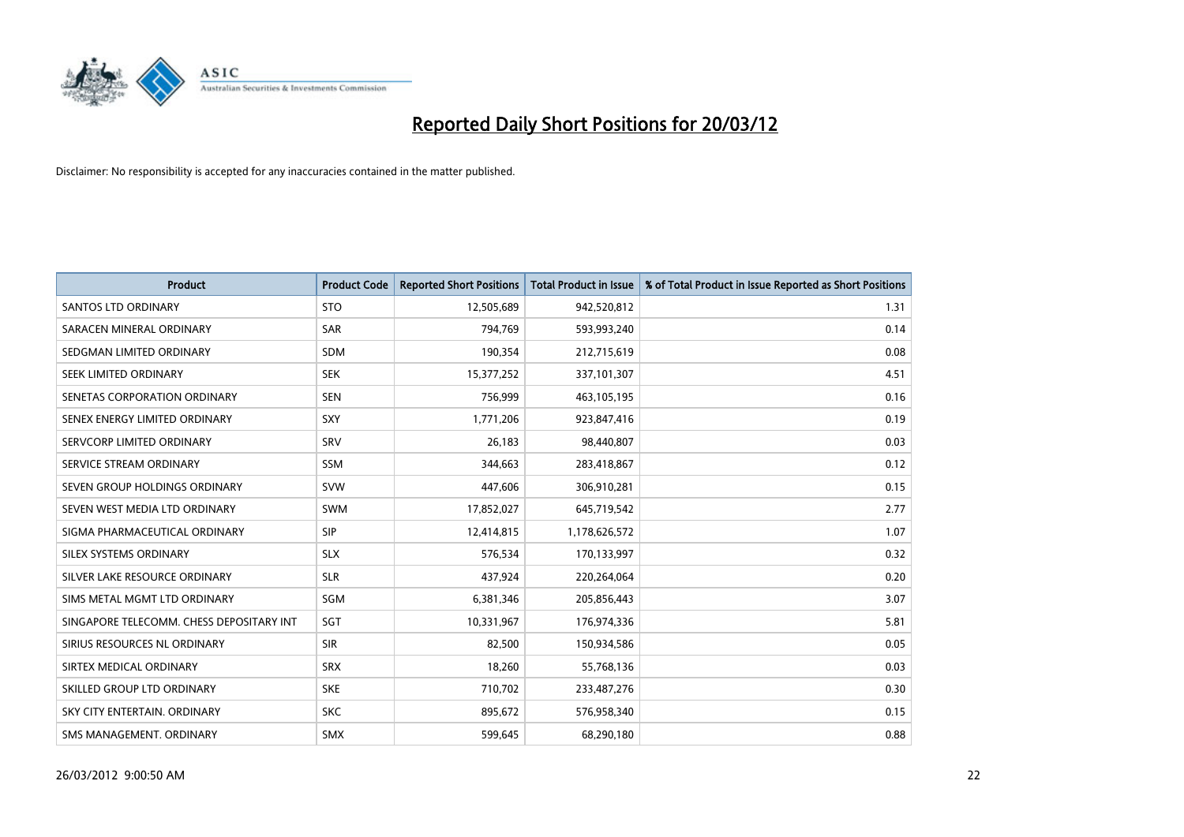

| <b>Product</b>                           | <b>Product Code</b> | <b>Reported Short Positions</b> | <b>Total Product in Issue</b> | % of Total Product in Issue Reported as Short Positions |
|------------------------------------------|---------------------|---------------------------------|-------------------------------|---------------------------------------------------------|
| <b>SANTOS LTD ORDINARY</b>               | <b>STO</b>          | 12,505,689                      | 942,520,812                   | 1.31                                                    |
| SARACEN MINERAL ORDINARY                 | SAR                 | 794,769                         | 593,993,240                   | 0.14                                                    |
| SEDGMAN LIMITED ORDINARY                 | <b>SDM</b>          | 190,354                         | 212,715,619                   | 0.08                                                    |
| SEEK LIMITED ORDINARY                    | <b>SEK</b>          | 15,377,252                      | 337,101,307                   | 4.51                                                    |
| SENETAS CORPORATION ORDINARY             | <b>SEN</b>          | 756,999                         | 463,105,195                   | 0.16                                                    |
| SENEX ENERGY LIMITED ORDINARY            | SXY                 | 1,771,206                       | 923,847,416                   | 0.19                                                    |
| SERVCORP LIMITED ORDINARY                | SRV                 | 26,183                          | 98,440,807                    | 0.03                                                    |
| SERVICE STREAM ORDINARY                  | SSM                 | 344,663                         | 283,418,867                   | 0.12                                                    |
| SEVEN GROUP HOLDINGS ORDINARY            | <b>SVW</b>          | 447,606                         | 306,910,281                   | 0.15                                                    |
| SEVEN WEST MEDIA LTD ORDINARY            | <b>SWM</b>          | 17,852,027                      | 645,719,542                   | 2.77                                                    |
| SIGMA PHARMACEUTICAL ORDINARY            | <b>SIP</b>          | 12,414,815                      | 1,178,626,572                 | 1.07                                                    |
| SILEX SYSTEMS ORDINARY                   | <b>SLX</b>          | 576,534                         | 170,133,997                   | 0.32                                                    |
| SILVER LAKE RESOURCE ORDINARY            | <b>SLR</b>          | 437,924                         | 220,264,064                   | 0.20                                                    |
| SIMS METAL MGMT LTD ORDINARY             | SGM                 | 6,381,346                       | 205,856,443                   | 3.07                                                    |
| SINGAPORE TELECOMM. CHESS DEPOSITARY INT | SGT                 | 10,331,967                      | 176,974,336                   | 5.81                                                    |
| SIRIUS RESOURCES NL ORDINARY             | <b>SIR</b>          | 82,500                          | 150,934,586                   | 0.05                                                    |
| SIRTEX MEDICAL ORDINARY                  | <b>SRX</b>          | 18,260                          | 55,768,136                    | 0.03                                                    |
| SKILLED GROUP LTD ORDINARY               | <b>SKE</b>          | 710,702                         | 233,487,276                   | 0.30                                                    |
| SKY CITY ENTERTAIN, ORDINARY             | <b>SKC</b>          | 895,672                         | 576,958,340                   | 0.15                                                    |
| SMS MANAGEMENT. ORDINARY                 | <b>SMX</b>          | 599,645                         | 68,290,180                    | 0.88                                                    |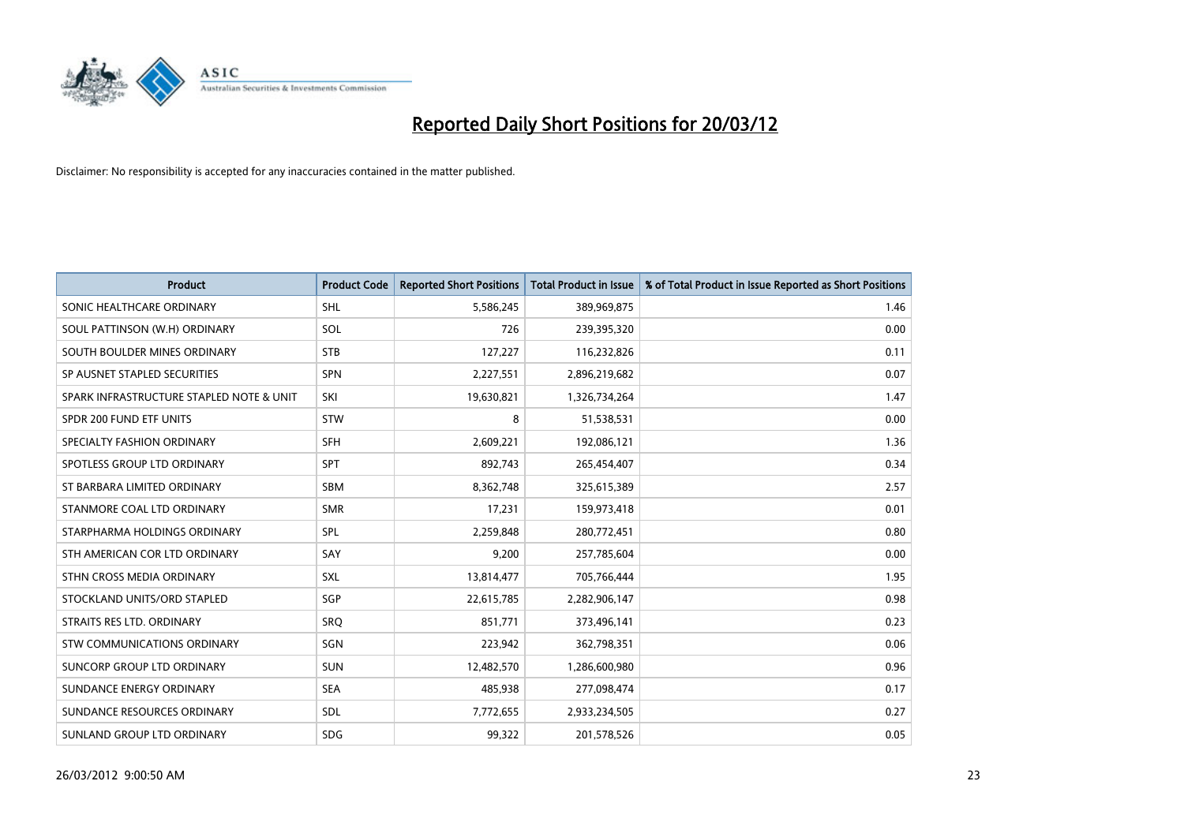

| <b>Product</b>                           | <b>Product Code</b> | <b>Reported Short Positions</b> | <b>Total Product in Issue</b> | % of Total Product in Issue Reported as Short Positions |
|------------------------------------------|---------------------|---------------------------------|-------------------------------|---------------------------------------------------------|
| SONIC HEALTHCARE ORDINARY                | <b>SHL</b>          | 5,586,245                       | 389,969,875                   | 1.46                                                    |
| SOUL PATTINSON (W.H) ORDINARY            | SOL                 | 726                             | 239,395,320                   | 0.00                                                    |
| SOUTH BOULDER MINES ORDINARY             | <b>STB</b>          | 127,227                         | 116,232,826                   | 0.11                                                    |
| SP AUSNET STAPLED SECURITIES             | <b>SPN</b>          | 2,227,551                       | 2,896,219,682                 | 0.07                                                    |
| SPARK INFRASTRUCTURE STAPLED NOTE & UNIT | SKI                 | 19,630,821                      | 1,326,734,264                 | 1.47                                                    |
| SPDR 200 FUND ETF UNITS                  | <b>STW</b>          | 8                               | 51,538,531                    | 0.00                                                    |
| SPECIALTY FASHION ORDINARY               | <b>SFH</b>          | 2,609,221                       | 192,086,121                   | 1.36                                                    |
| SPOTLESS GROUP LTD ORDINARY              | <b>SPT</b>          | 892,743                         | 265,454,407                   | 0.34                                                    |
| ST BARBARA LIMITED ORDINARY              | <b>SBM</b>          | 8,362,748                       | 325,615,389                   | 2.57                                                    |
| STANMORE COAL LTD ORDINARY               | <b>SMR</b>          | 17,231                          | 159,973,418                   | 0.01                                                    |
| STARPHARMA HOLDINGS ORDINARY             | <b>SPL</b>          | 2,259,848                       | 280,772,451                   | 0.80                                                    |
| STH AMERICAN COR LTD ORDINARY            | SAY                 | 9,200                           | 257,785,604                   | 0.00                                                    |
| STHN CROSS MEDIA ORDINARY                | SXL                 | 13,814,477                      | 705,766,444                   | 1.95                                                    |
| STOCKLAND UNITS/ORD STAPLED              | SGP                 | 22,615,785                      | 2,282,906,147                 | 0.98                                                    |
| STRAITS RES LTD. ORDINARY                | SRO                 | 851,771                         | 373,496,141                   | 0.23                                                    |
| STW COMMUNICATIONS ORDINARY              | SGN                 | 223,942                         | 362,798,351                   | 0.06                                                    |
| SUNCORP GROUP LTD ORDINARY               | <b>SUN</b>          | 12,482,570                      | 1,286,600,980                 | 0.96                                                    |
| SUNDANCE ENERGY ORDINARY                 | <b>SEA</b>          | 485,938                         | 277,098,474                   | 0.17                                                    |
| SUNDANCE RESOURCES ORDINARY              | <b>SDL</b>          | 7,772,655                       | 2,933,234,505                 | 0.27                                                    |
| SUNLAND GROUP LTD ORDINARY               | <b>SDG</b>          | 99,322                          | 201,578,526                   | 0.05                                                    |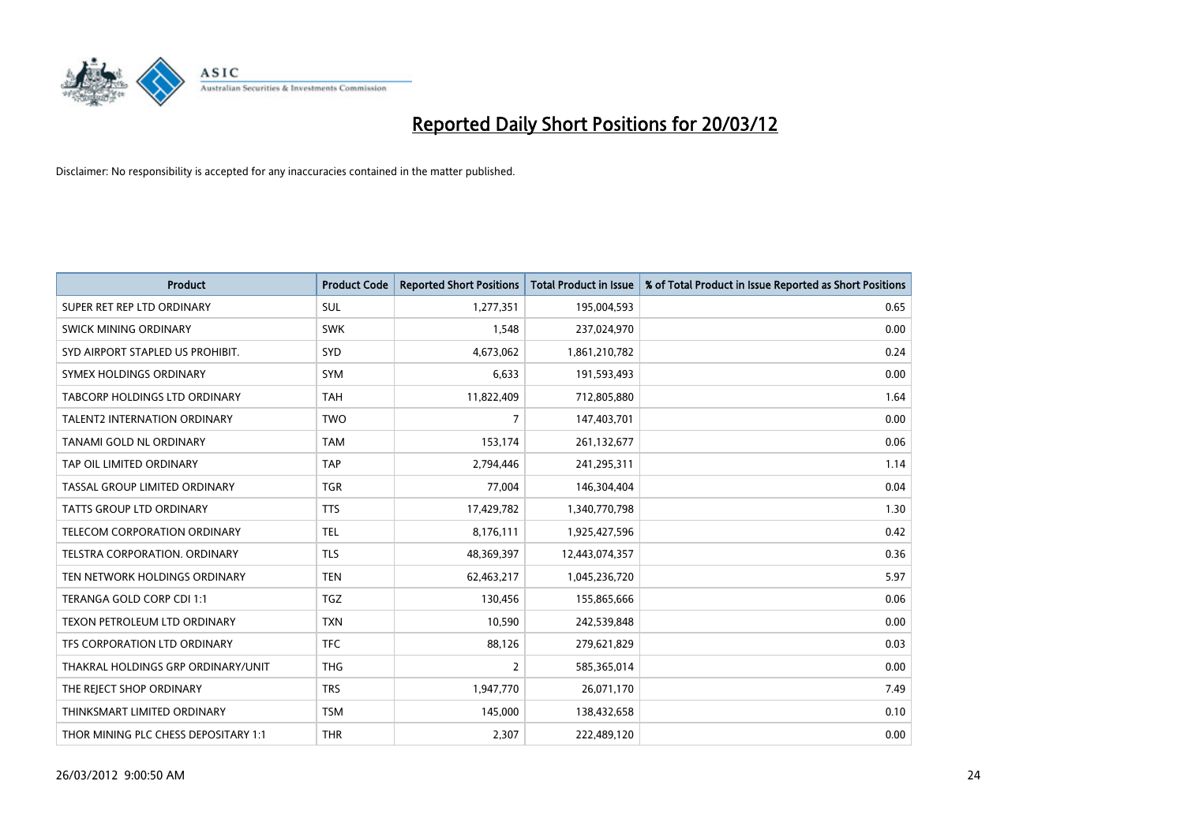

| <b>Product</b>                       | <b>Product Code</b> | <b>Reported Short Positions</b> | <b>Total Product in Issue</b> | % of Total Product in Issue Reported as Short Positions |
|--------------------------------------|---------------------|---------------------------------|-------------------------------|---------------------------------------------------------|
| SUPER RET REP LTD ORDINARY           | <b>SUL</b>          | 1,277,351                       | 195,004,593                   | 0.65                                                    |
| SWICK MINING ORDINARY                | <b>SWK</b>          | 1,548                           | 237,024,970                   | 0.00                                                    |
| SYD AIRPORT STAPLED US PROHIBIT.     | <b>SYD</b>          | 4,673,062                       | 1,861,210,782                 | 0.24                                                    |
| SYMEX HOLDINGS ORDINARY              | <b>SYM</b>          | 6,633                           | 191,593,493                   | 0.00                                                    |
| TABCORP HOLDINGS LTD ORDINARY        | <b>TAH</b>          | 11,822,409                      | 712,805,880                   | 1.64                                                    |
| <b>TALENT2 INTERNATION ORDINARY</b>  | <b>TWO</b>          | $\overline{7}$                  | 147,403,701                   | 0.00                                                    |
| TANAMI GOLD NL ORDINARY              | <b>TAM</b>          | 153,174                         | 261,132,677                   | 0.06                                                    |
| TAP OIL LIMITED ORDINARY             | <b>TAP</b>          | 2,794,446                       | 241,295,311                   | 1.14                                                    |
| TASSAL GROUP LIMITED ORDINARY        | <b>TGR</b>          | 77,004                          | 146,304,404                   | 0.04                                                    |
| <b>TATTS GROUP LTD ORDINARY</b>      | <b>TTS</b>          | 17,429,782                      | 1,340,770,798                 | 1.30                                                    |
| TELECOM CORPORATION ORDINARY         | <b>TEL</b>          | 8,176,111                       | 1,925,427,596                 | 0.42                                                    |
| <b>TELSTRA CORPORATION, ORDINARY</b> | <b>TLS</b>          | 48,369,397                      | 12,443,074,357                | 0.36                                                    |
| TEN NETWORK HOLDINGS ORDINARY        | <b>TEN</b>          | 62,463,217                      | 1,045,236,720                 | 5.97                                                    |
| TERANGA GOLD CORP CDI 1:1            | <b>TGZ</b>          | 130,456                         | 155,865,666                   | 0.06                                                    |
| TEXON PETROLEUM LTD ORDINARY         | <b>TXN</b>          | 10,590                          | 242,539,848                   | 0.00                                                    |
| TFS CORPORATION LTD ORDINARY         | <b>TFC</b>          | 88,126                          | 279,621,829                   | 0.03                                                    |
| THAKRAL HOLDINGS GRP ORDINARY/UNIT   | <b>THG</b>          | $\overline{2}$                  | 585,365,014                   | 0.00                                                    |
| THE REJECT SHOP ORDINARY             | <b>TRS</b>          | 1,947,770                       | 26,071,170                    | 7.49                                                    |
| THINKSMART LIMITED ORDINARY          | <b>TSM</b>          | 145,000                         | 138,432,658                   | 0.10                                                    |
| THOR MINING PLC CHESS DEPOSITARY 1:1 | <b>THR</b>          | 2,307                           | 222,489,120                   | 0.00                                                    |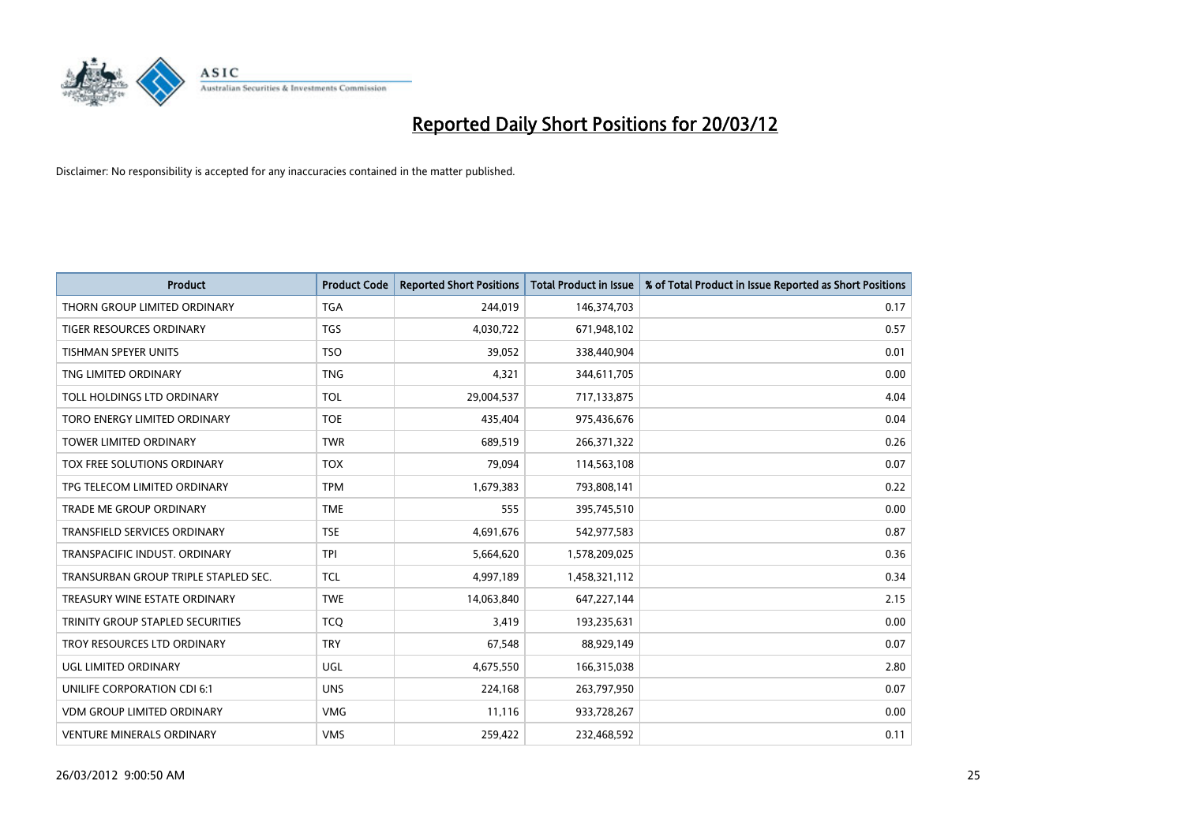

| <b>Product</b>                       | <b>Product Code</b> | <b>Reported Short Positions</b> | <b>Total Product in Issue</b> | % of Total Product in Issue Reported as Short Positions |
|--------------------------------------|---------------------|---------------------------------|-------------------------------|---------------------------------------------------------|
| THORN GROUP LIMITED ORDINARY         | <b>TGA</b>          | 244,019                         | 146,374,703                   | 0.17                                                    |
| <b>TIGER RESOURCES ORDINARY</b>      | <b>TGS</b>          | 4,030,722                       | 671,948,102                   | 0.57                                                    |
| <b>TISHMAN SPEYER UNITS</b>          | <b>TSO</b>          | 39,052                          | 338,440,904                   | 0.01                                                    |
| TNG LIMITED ORDINARY                 | <b>TNG</b>          | 4,321                           | 344,611,705                   | 0.00                                                    |
| <b>TOLL HOLDINGS LTD ORDINARY</b>    | <b>TOL</b>          | 29,004,537                      | 717,133,875                   | 4.04                                                    |
| TORO ENERGY LIMITED ORDINARY         | <b>TOE</b>          | 435,404                         | 975,436,676                   | 0.04                                                    |
| <b>TOWER LIMITED ORDINARY</b>        | <b>TWR</b>          | 689.519                         | 266,371,322                   | 0.26                                                    |
| TOX FREE SOLUTIONS ORDINARY          | <b>TOX</b>          | 79,094                          | 114,563,108                   | 0.07                                                    |
| TPG TELECOM LIMITED ORDINARY         | <b>TPM</b>          | 1,679,383                       | 793,808,141                   | 0.22                                                    |
| <b>TRADE ME GROUP ORDINARY</b>       | <b>TME</b>          | 555                             | 395,745,510                   | 0.00                                                    |
| <b>TRANSFIELD SERVICES ORDINARY</b>  | <b>TSE</b>          | 4,691,676                       | 542,977,583                   | 0.87                                                    |
| TRANSPACIFIC INDUST, ORDINARY        | <b>TPI</b>          | 5,664,620                       | 1,578,209,025                 | 0.36                                                    |
| TRANSURBAN GROUP TRIPLE STAPLED SEC. | <b>TCL</b>          | 4,997,189                       | 1,458,321,112                 | 0.34                                                    |
| TREASURY WINE ESTATE ORDINARY        | <b>TWE</b>          | 14,063,840                      | 647,227,144                   | 2.15                                                    |
| TRINITY GROUP STAPLED SECURITIES     | <b>TCO</b>          | 3,419                           | 193,235,631                   | 0.00                                                    |
| TROY RESOURCES LTD ORDINARY          | <b>TRY</b>          | 67,548                          | 88,929,149                    | 0.07                                                    |
| UGL LIMITED ORDINARY                 | UGL                 | 4,675,550                       | 166,315,038                   | 2.80                                                    |
| UNILIFE CORPORATION CDI 6:1          | <b>UNS</b>          | 224,168                         | 263,797,950                   | 0.07                                                    |
| <b>VDM GROUP LIMITED ORDINARY</b>    | <b>VMG</b>          | 11,116                          | 933,728,267                   | 0.00                                                    |
| <b>VENTURE MINERALS ORDINARY</b>     | <b>VMS</b>          | 259,422                         | 232,468,592                   | 0.11                                                    |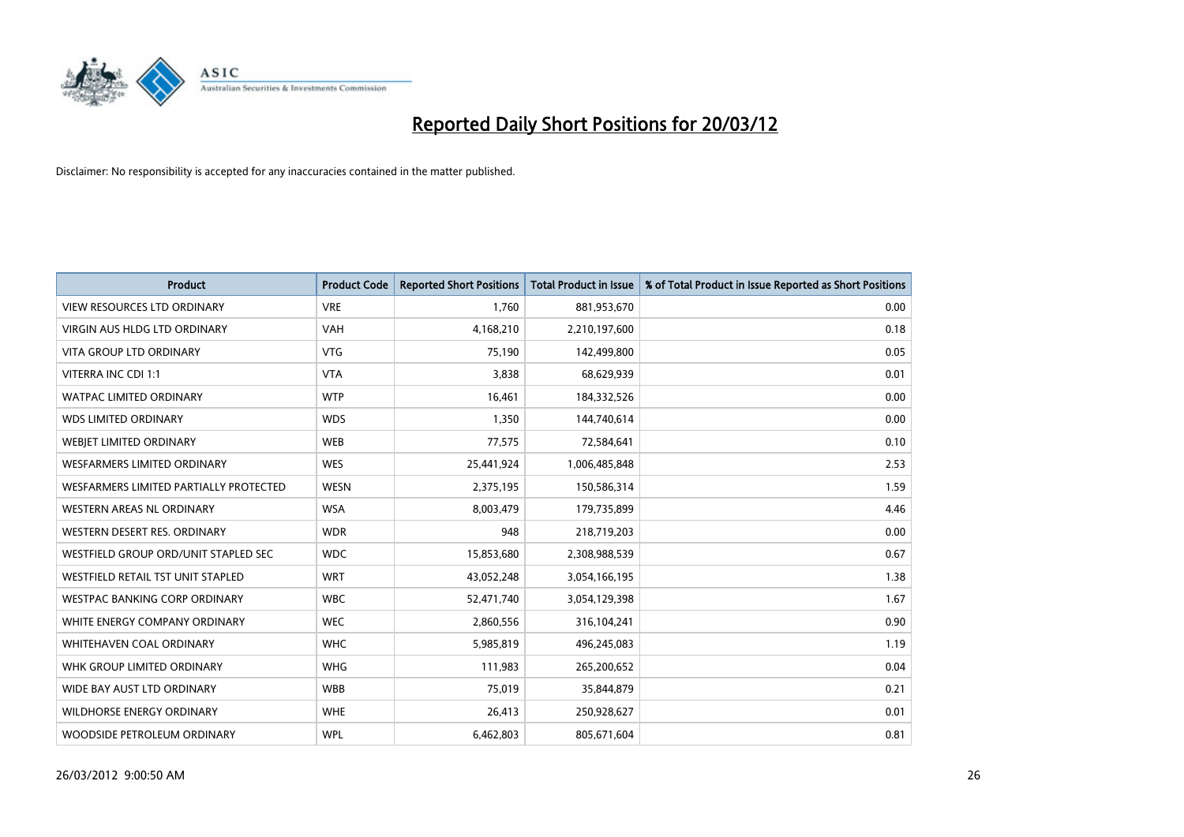

| <b>Product</b>                         | <b>Product Code</b> | <b>Reported Short Positions</b> | <b>Total Product in Issue</b> | % of Total Product in Issue Reported as Short Positions |
|----------------------------------------|---------------------|---------------------------------|-------------------------------|---------------------------------------------------------|
| <b>VIEW RESOURCES LTD ORDINARY</b>     | <b>VRE</b>          | 1,760                           | 881,953,670                   | 0.00                                                    |
| <b>VIRGIN AUS HLDG LTD ORDINARY</b>    | <b>VAH</b>          | 4,168,210                       | 2,210,197,600                 | 0.18                                                    |
| <b>VITA GROUP LTD ORDINARY</b>         | <b>VTG</b>          | 75,190                          | 142,499,800                   | 0.05                                                    |
| VITERRA INC CDI 1:1                    | <b>VTA</b>          | 3,838                           | 68,629,939                    | 0.01                                                    |
| <b>WATPAC LIMITED ORDINARY</b>         | <b>WTP</b>          | 16,461                          | 184,332,526                   | 0.00                                                    |
| <b>WDS LIMITED ORDINARY</b>            | <b>WDS</b>          | 1,350                           | 144,740,614                   | 0.00                                                    |
| WEBJET LIMITED ORDINARY                | <b>WEB</b>          | 77,575                          | 72,584,641                    | 0.10                                                    |
| <b>WESFARMERS LIMITED ORDINARY</b>     | <b>WES</b>          | 25,441,924                      | 1,006,485,848                 | 2.53                                                    |
| WESFARMERS LIMITED PARTIALLY PROTECTED | <b>WESN</b>         | 2,375,195                       | 150,586,314                   | 1.59                                                    |
| <b>WESTERN AREAS NL ORDINARY</b>       | <b>WSA</b>          | 8,003,479                       | 179,735,899                   | 4.46                                                    |
| WESTERN DESERT RES. ORDINARY           | <b>WDR</b>          | 948                             | 218,719,203                   | 0.00                                                    |
| WESTFIELD GROUP ORD/UNIT STAPLED SEC   | <b>WDC</b>          | 15,853,680                      | 2,308,988,539                 | 0.67                                                    |
| WESTFIELD RETAIL TST UNIT STAPLED      | <b>WRT</b>          | 43,052,248                      | 3,054,166,195                 | 1.38                                                    |
| <b>WESTPAC BANKING CORP ORDINARY</b>   | <b>WBC</b>          | 52,471,740                      | 3,054,129,398                 | 1.67                                                    |
| WHITE ENERGY COMPANY ORDINARY          | <b>WEC</b>          | 2,860,556                       | 316,104,241                   | 0.90                                                    |
| <b>WHITEHAVEN COAL ORDINARY</b>        | <b>WHC</b>          | 5,985,819                       | 496,245,083                   | 1.19                                                    |
| WHK GROUP LIMITED ORDINARY             | <b>WHG</b>          | 111,983                         | 265,200,652                   | 0.04                                                    |
| WIDE BAY AUST LTD ORDINARY             | <b>WBB</b>          | 75,019                          | 35,844,879                    | 0.21                                                    |
| <b>WILDHORSE ENERGY ORDINARY</b>       | <b>WHE</b>          | 26,413                          | 250,928,627                   | 0.01                                                    |
| WOODSIDE PETROLEUM ORDINARY            | <b>WPL</b>          | 6,462,803                       | 805,671,604                   | 0.81                                                    |